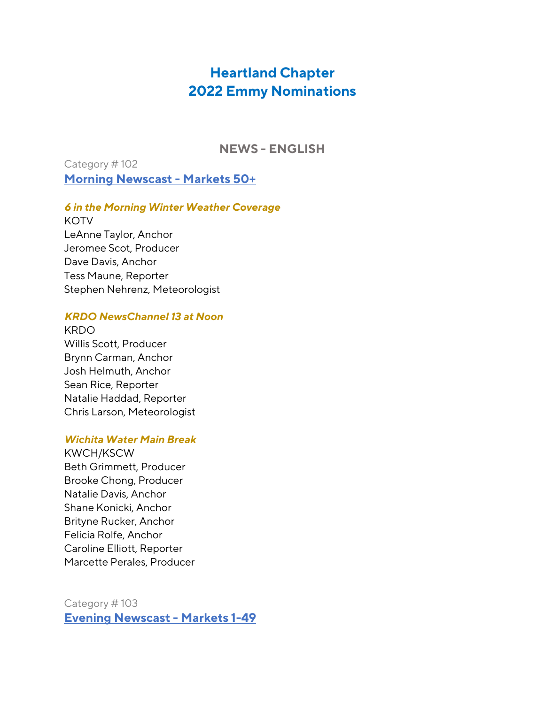# **Heartland Chapter 2022 Emmy Nominations**

**NEWS - ENGLISH**

Category # 102 **Morning Newscast - Markets 50+**

*6 in the Morning Winter Weather Coverage*

**KOTV** LeAnne Taylor, Anchor Jeromee Scot, Producer Dave Davis, Anchor Tess Maune, Reporter Stephen Nehrenz, Meteorologist

### *KRDO NewsChannel 13 at Noon*

KRDO Willis Scott, Producer Brynn Carman, Anchor Josh Helmuth, Anchor Sean Rice, Reporter Natalie Haddad, Reporter Chris Larson, Meteorologist

### *Wichita Water Main Break*

KWCH/KSCW Beth Grimmett, Producer Brooke Chong, Producer Natalie Davis, Anchor Shane Konicki, Anchor Brityne Rucker, Anchor Felicia Rolfe, Anchor Caroline Elliott, Reporter Marcette Perales, Producer

Category # 103 **Evening Newscast - Markets 1-49**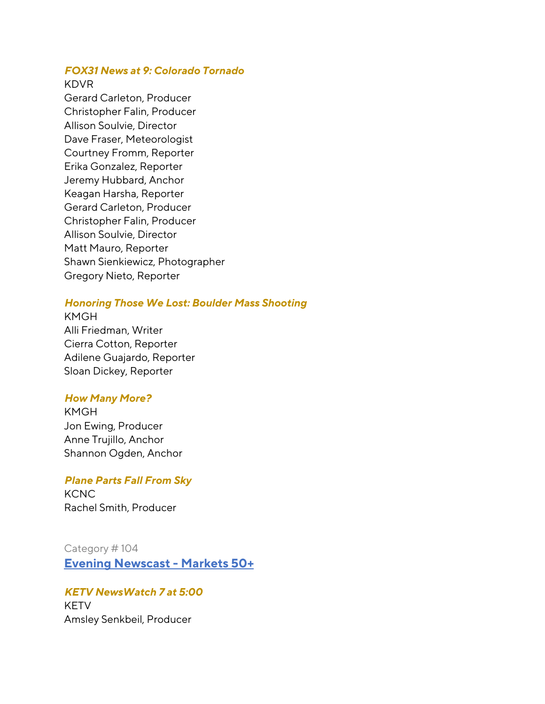### *FOX31 News at 9: Colorado Tornado*

#### KDVR

Gerard Carleton, Producer Christopher Falin, Producer Allison Soulvie, Director Dave Fraser, Meteorologist Courtney Fromm, Reporter Erika Gonzalez, Reporter Jeremy Hubbard, Anchor Keagan Harsha, Reporter Gerard Carleton, Producer Christopher Falin, Producer Allison Soulvie, Director Matt Mauro, Reporter Shawn Sienkiewicz, Photographer Gregory Nieto, Reporter

### *Honoring Those We Lost: Boulder Mass Shooting*

KMGH Alli Friedman, Writer Cierra Cotton, Reporter Adilene Guajardo, Reporter Sloan Dickey, Reporter

#### *How Many More?*

KMGH Jon Ewing, Producer Anne Trujillo, Anchor Shannon Ogden, Anchor

#### *Plane Parts Fall From Sky*

**KCNC** Rachel Smith, Producer

### Category # 104

**Evening Newscast - Markets 50+**

## *KETV NewsWatch 7 at 5:00*

KETV Amsley Senkbeil, Producer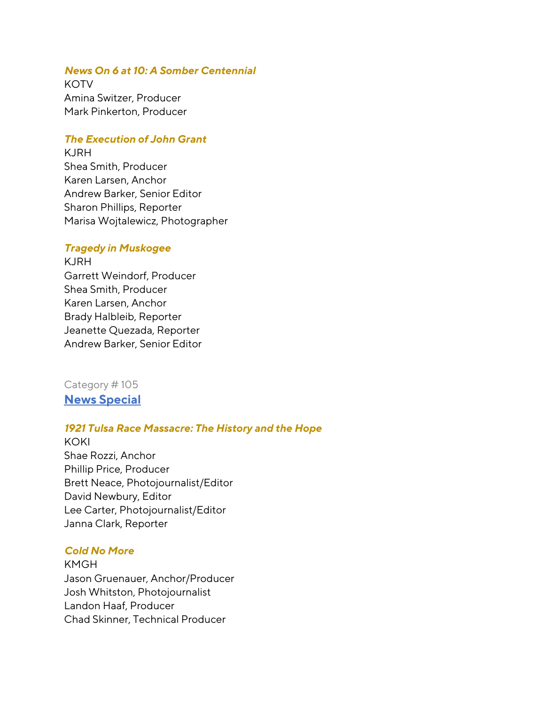### *News On 6 at 10: A Somber Centennial*

**KOTV** Amina Switzer, Producer Mark Pinkerton, Producer

### *The Execution of John Grant*

KJRH Shea Smith, Producer Karen Larsen, Anchor Andrew Barker, Senior Editor Sharon Phillips, Reporter Marisa Wojtalewicz, Photographer

#### *Tragedy in Muskogee*

KJRH Garrett Weindorf, Producer Shea Smith, Producer Karen Larsen, Anchor Brady Halbleib, Reporter Jeanette Quezada, Reporter Andrew Barker, Senior Editor

Category # 105 **News Special**

#### *1921 Tulsa Race Massacre: The History and the Hope*

KOKI Shae Rozzi, Anchor Phillip Price, Producer Brett Neace, Photojournalist/Editor David Newbury, Editor Lee Carter, Photojournalist/Editor Janna Clark, Reporter

### *Cold No More*

KMGH Jason Gruenauer, Anchor/Producer Josh Whitston, Photojournalist Landon Haaf, Producer Chad Skinner, Technical Producer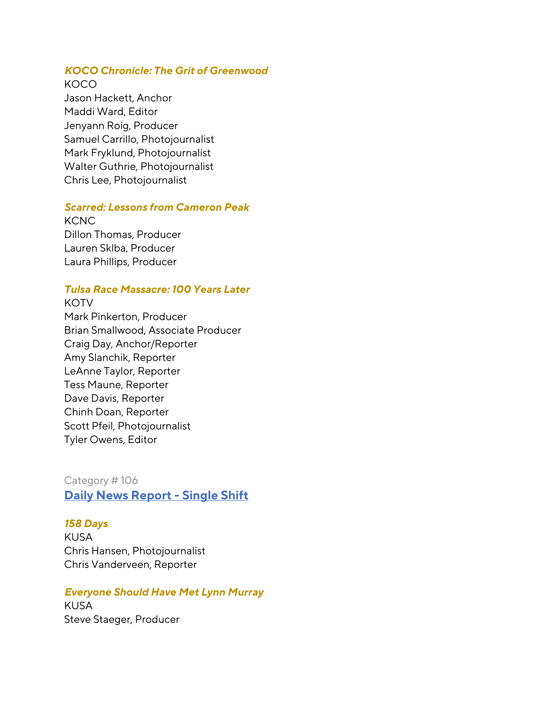### *KOCO Chronicle: The Grit of Greenwood*

KOCO

Jason Hackett, Anchor Maddi Ward, Editor Jenyann Roig, Producer Samuel Carrillo, Photojournalist Mark Fryklund, Photojournalist Walter Guthrie, Photojournalist Chris Lee, Photojournalist

### *Scarred: Lessons from Cameron Peak*

**KCNC** Dillon Thomas, Producer Lauren Sklba, Producer Laura Phillips, Producer

## *Tulsa Race Massacre: 100 Years Later*

**KOTV** Mark Pinkerton, Producer Brian Smallwood, Associate Producer Craig Day, Anchor/Reporter Amy Slanchik, Reporter LeAnne Taylor, Reporter Tess Maune, Reporter Dave Davis, Reporter Chinh Doan, Reporter Scott Pfeil, Photojournalist Tyler Owens, Editor

Category # 106 **Daily News Report - Single Shift**

#### *158 Days*

KUSA Chris Hansen, Photojournalist Chris Vanderveen, Reporter

### *Everyone Should Have Met Lynn Murray*

KUSA Steve Staeger, Producer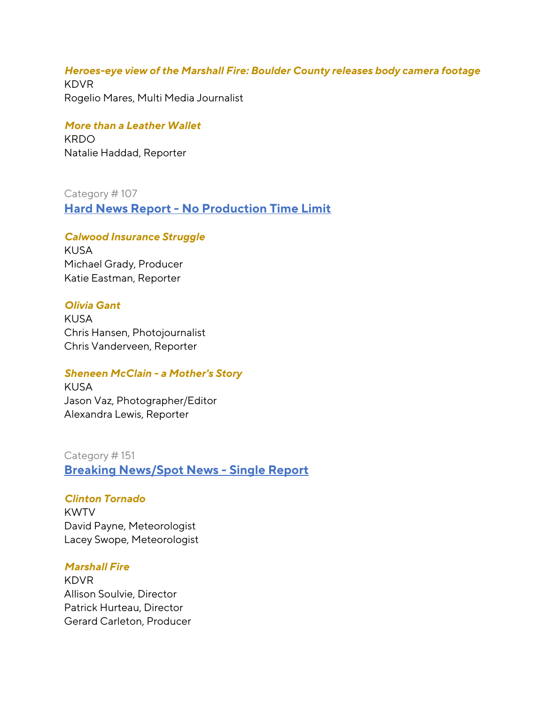## *Heroes-eye view of the Marshall Fire: Boulder County releases body camera footage*

KDVR Rogelio Mares, Multi Media Journalist

## *More than a Leather Wallet*

**KRDO** Natalie Haddad, Reporter

Category # 107

**Hard News Report - No Production Time Limit**

## *Calwood Insurance Struggle*

KUSA Michael Grady, Producer Katie Eastman, Reporter

## *Olivia Gant*

KUSA Chris Hansen, Photojournalist Chris Vanderveen, Reporter

## *Sheneen McClain - a Mother's Story*

KUSA Jason Vaz, Photographer/Editor Alexandra Lewis, Reporter

Category # 151 **Breaking News/Spot News - Single Report**

### *Clinton Tornado*

KWTV David Payne, Meteorologist Lacey Swope, Meteorologist

### *Marshall Fire*

KDVR Allison Soulvie, Director Patrick Hurteau, Director Gerard Carleton, Producer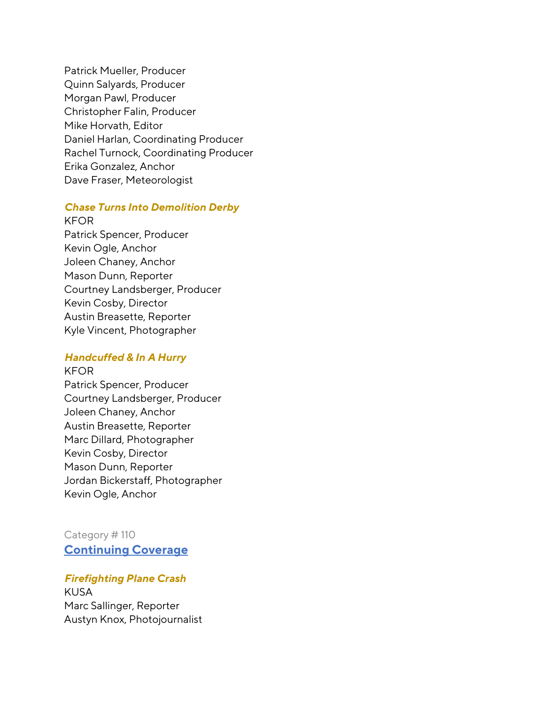Patrick Mueller, Producer Quinn Salyards, Producer Morgan Pawl, Producer Christopher Falin, Producer Mike Horvath, Editor Daniel Harlan, Coordinating Producer Rachel Turnock, Coordinating Producer Erika Gonzalez, Anchor Dave Fraser, Meteorologist

#### *Chase Turns Into Demolition Derby*

KFOR Patrick Spencer, Producer Kevin Ogle, Anchor Joleen Chaney, Anchor Mason Dunn, Reporter Courtney Landsberger, Producer Kevin Cosby, Director Austin Breasette, Reporter Kyle Vincent, Photographer

### *Handcuffed & In A Hurry*

KFOR Patrick Spencer, Producer Courtney Landsberger, Producer Joleen Chaney, Anchor Austin Breasette, Reporter Marc Dillard, Photographer Kevin Cosby, Director Mason Dunn, Reporter Jordan Bickerstaff, Photographer Kevin Ogle, Anchor

Category # 110 **Continuing Coverage**

*Firefighting Plane Crash* KUSA Marc Sallinger, Reporter Austyn Knox, Photojournalist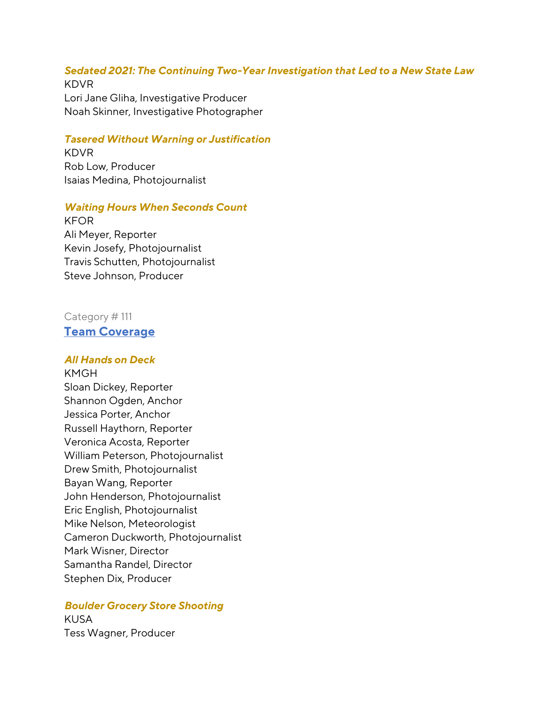# *Sedated 2021: The Continuing Two-Year Investigation that Led to a New State Law*

KDVR Lori Jane Gliha, Investigative Producer Noah Skinner, Investigative Photographer

### *Tasered Without Warning or Justification*

KDVR Rob Low, Producer Isaias Medina, Photojournalist

### *Waiting Hours When Seconds Count*

KFOR Ali Meyer, Reporter Kevin Josefy, Photojournalist Travis Schutten, Photojournalist Steve Johnson, Producer

## Category # 111 **Team Coverage**

#### *All Hands on Deck*

KMGH Sloan Dickey, Reporter Shannon Ogden, Anchor Jessica Porter, Anchor Russell Haythorn, Reporter Veronica Acosta, Reporter William Peterson, Photojournalist Drew Smith, Photojournalist Bayan Wang, Reporter John Henderson, Photojournalist Eric English, Photojournalist Mike Nelson, Meteorologist Cameron Duckworth, Photojournalist Mark Wisner, Director Samantha Randel, Director Stephen Dix, Producer

#### *Boulder Grocery Store Shooting*

KUSA Tess Wagner, Producer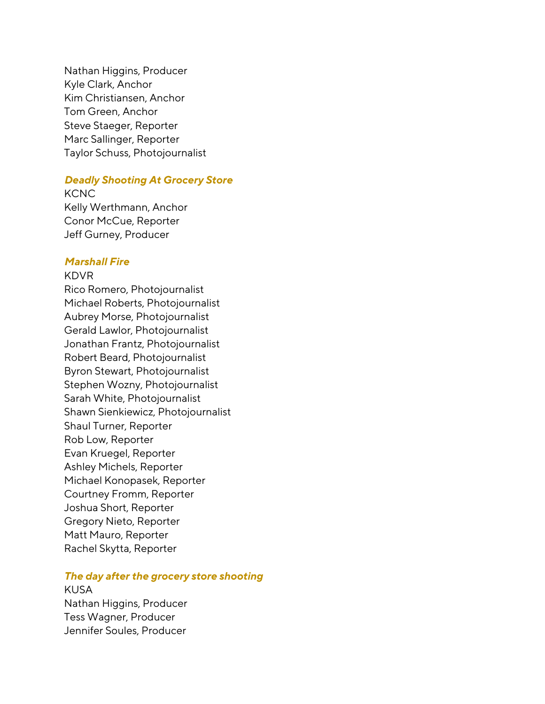Nathan Higgins, Producer Kyle Clark, Anchor Kim Christiansen, Anchor Tom Green, Anchor Steve Staeger, Reporter Marc Sallinger, Reporter Taylor Schuss, Photojournalist

#### *Deadly Shooting At Grocery Store*

**KCNC** Kelly Werthmann, Anchor Conor McCue, Reporter Jeff Gurney, Producer

#### *Marshall Fire*

#### KDVR

Rico Romero, Photojournalist Michael Roberts, Photojournalist Aubrey Morse, Photojournalist Gerald Lawlor, Photojournalist Jonathan Frantz, Photojournalist Robert Beard, Photojournalist Byron Stewart, Photojournalist Stephen Wozny, Photojournalist Sarah White, Photojournalist Shawn Sienkiewicz, Photojournalist Shaul Turner, Reporter Rob Low, Reporter Evan Kruegel, Reporter Ashley Michels, Reporter Michael Konopasek, Reporter Courtney Fromm, Reporter Joshua Short, Reporter Gregory Nieto, Reporter Matt Mauro, Reporter Rachel Skytta, Reporter

#### *The day after the grocery store shooting*

KUSA Nathan Higgins, Producer Tess Wagner, Producer Jennifer Soules, Producer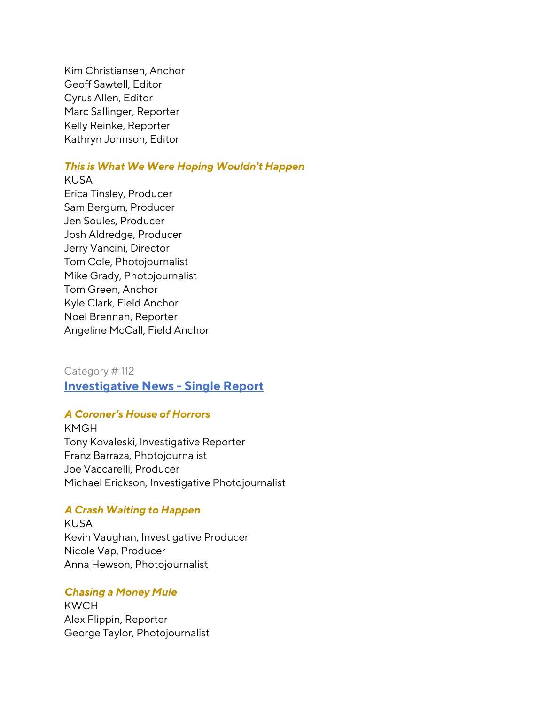Kim Christiansen, Anchor Geoff Sawtell, Editor Cyrus Allen, Editor Marc Sallinger, Reporter Kelly Reinke, Reporter Kathryn Johnson, Editor

### *This is What We Were Hoping Wouldn't Happen*

KUSA Erica Tinsley, Producer Sam Bergum, Producer Jen Soules, Producer Josh Aldredge, Producer Jerry Vancini, Director Tom Cole, Photojournalist Mike Grady, Photojournalist Tom Green, Anchor Kyle Clark, Field Anchor Noel Brennan, Reporter Angeline McCall, Field Anchor

Category # 112 **Investigative News - Single Report**

### *A Coroner's House of Horrors*

KMGH Tony Kovaleski, Investigative Reporter Franz Barraza, Photojournalist Joe Vaccarelli, Producer Michael Erickson, Investigative Photojournalist

#### *A Crash Waiting to Happen*

KUSA Kevin Vaughan, Investigative Producer Nicole Vap, Producer Anna Hewson, Photojournalist

### *Chasing a Money Mule*

KWCH Alex Flippin, Reporter George Taylor, Photojournalist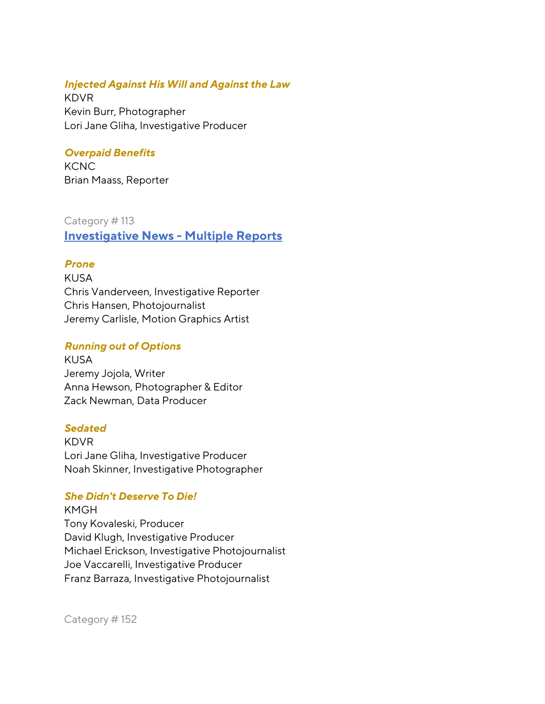### *Injected Against His Will and Against the Law*

KDVR Kevin Burr, Photographer Lori Jane Gliha, Investigative Producer

## *Overpaid Benefits*

**KCNC** Brian Maass, Reporter

### Category # 113

**Investigative News - Multiple Reports**

## *Prone*

KUSA Chris Vanderveen, Investigative Reporter Chris Hansen, Photojournalist Jeremy Carlisle, Motion Graphics Artist

## *Running out of Options*

KUSA Jeremy Jojola, Writer Anna Hewson, Photographer & Editor Zack Newman, Data Producer

### *Sedated*

KDVR Lori Jane Gliha, Investigative Producer Noah Skinner, Investigative Photographer

## *She Didn't Deserve To Die!*

KMGH Tony Kovaleski, Producer David Klugh, Investigative Producer Michael Erickson, Investigative Photojournalist Joe Vaccarelli, Investigative Producer Franz Barraza, Investigative Photojournalist

Category # 152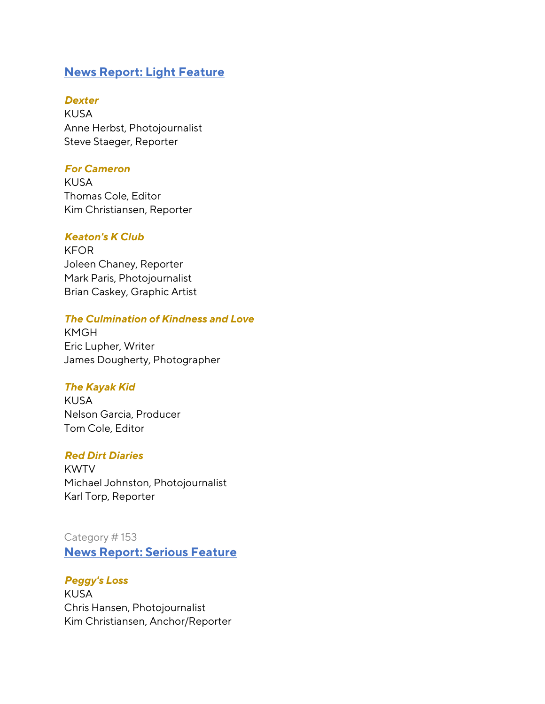## **News Report: Light Feature**

### *Dexter*

KUSA Anne Herbst, Photojournalist Steve Staeger, Reporter

## *For Cameron*

KUSA Thomas Cole, Editor Kim Christiansen, Reporter

## *Keaton's K Club*

KFOR Joleen Chaney, Reporter Mark Paris, Photojournalist Brian Caskey, Graphic Artist

## *The Culmination of Kindness and Love*

KMGH Eric Lupher, Writer James Dougherty, Photographer

### *The Kayak Kid*

KUSA Nelson Garcia, Producer Tom Cole, Editor

### *Red Dirt Diaries*

KWTV Michael Johnston, Photojournalist Karl Torp, Reporter

## Category # 153 **News Report: Serious Feature**

### *Peggy's Loss*

KUSA Chris Hansen, Photojournalist Kim Christiansen, Anchor/Reporter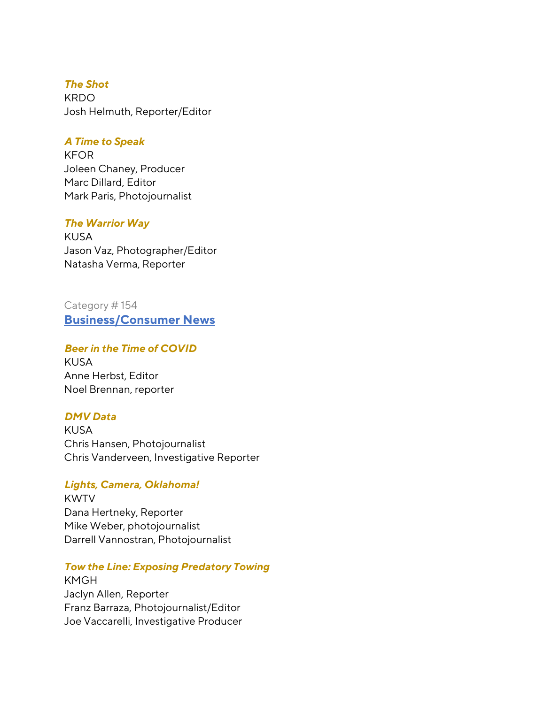### *The Shot*

KRDO Josh Helmuth, Reporter/Editor

### *A Time to Speak*

KFOR Joleen Chaney, Producer Marc Dillard, Editor Mark Paris, Photojournalist

### *The Warrior Way*

KUSA Jason Vaz, Photographer/Editor Natasha Verma, Reporter

Category # 154 **Business/Consumer News** 

## *Beer in the Time of COVID*

KUSA Anne Herbst, Editor Noel Brennan, reporter

## *DMV Data*

KUSA Chris Hansen, Photojournalist Chris Vanderveen, Investigative Reporter

## *Lights, Camera, Oklahoma!*

KWTV Dana Hertneky, Reporter Mike Weber, photojournalist Darrell Vannostran, Photojournalist

## *Tow the Line: Exposing Predatory Towing*

KMGH Jaclyn Allen, Reporter Franz Barraza, Photojournalist/Editor Joe Vaccarelli, Investigative Producer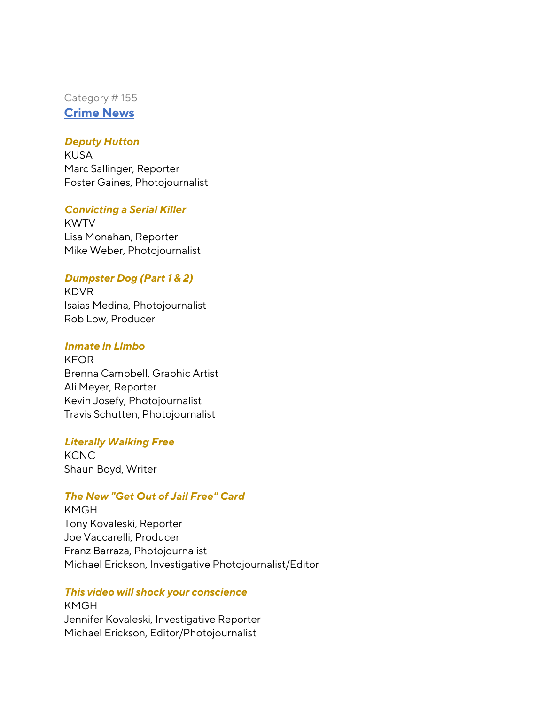Category # 155 **Crime News** 

### *Deputy Hutton*

KUSA Marc Sallinger, Reporter Foster Gaines, Photojournalist

### *Convicting a Serial Killer*

KWTV Lisa Monahan, Reporter Mike Weber, Photojournalist

### *Dumpster Dog (Part 1 & 2)*

KDVR Isaias Medina, Photojournalist Rob Low, Producer

### *Inmate in Limbo*

KFOR Brenna Campbell, Graphic Artist Ali Meyer, Reporter Kevin Josefy, Photojournalist Travis Schutten, Photojournalist

### *Literally Walking Free*

**KCNC** Shaun Boyd, Writer

## *The New "Get Out of Jail Free" Card*

KMGH Tony Kovaleski, Reporter Joe Vaccarelli, Producer Franz Barraza, Photojournalist Michael Erickson, Investigative Photojournalist/Editor

### *This video will shock your conscience*

KMGH Jennifer Kovaleski, Investigative Reporter Michael Erickson, Editor/Photojournalist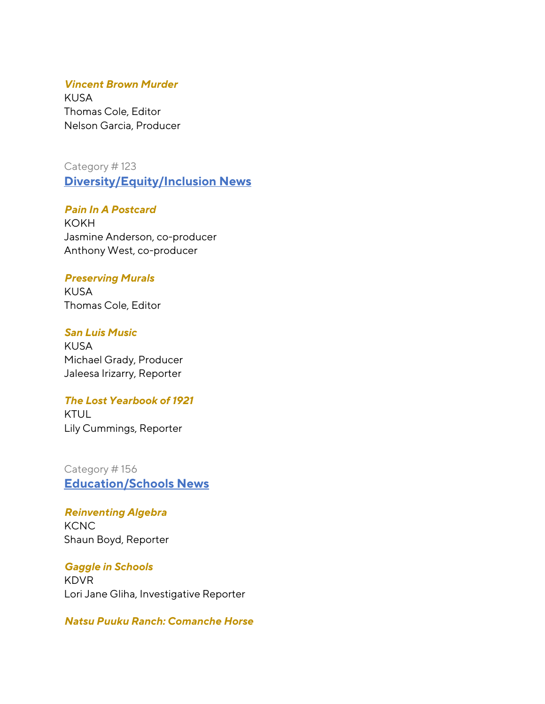### *Vincent Brown Murder*

KUSA Thomas Cole, Editor Nelson Garcia, Producer

Category # 123 **Diversity/Equity/Inclusion News** 

*Pain In A Postcard* KOKH Jasmine Anderson, co-producer Anthony West, co-producer

#### *Preserving Murals*

KUSA Thomas Cole, Editor

#### *San Luis Music*

KUSA Michael Grady, Producer Jaleesa Irizarry, Reporter

#### *The Lost Yearbook of 1921*

KTUL Lily Cummings, Reporter

Category # 156 **Education/Schools News** 

*Reinventing Algebra* **KCNC** Shaun Boyd, Reporter

*Gaggle in Schools* KDVR Lori Jane Gliha, Investigative Reporter

### *Natsu Puuku Ranch: Comanche Horse*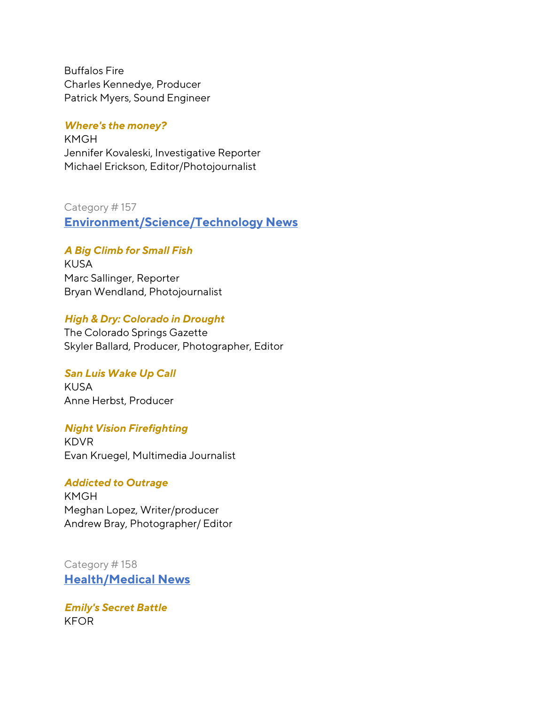Buffalos Fire Charles Kennedye, Producer Patrick Myers, Sound Engineer

#### *Where's the money?*

KMGH Jennifer Kovaleski, Investigative Reporter Michael Erickson, Editor/Photojournalist

Category # 157

**Environment/Science/Technology News** 

### *A Big Climb for Small Fish*

KUSA Marc Sallinger, Reporter Bryan Wendland, Photojournalist

### *High & Dry: Colorado in Drought*

The Colorado Springs Gazette Skyler Ballard, Producer, Photographer, Editor

#### *San Luis Wake Up Call*

KUSA Anne Herbst, Producer

#### *Night Vision Firefighting*

KDVR Evan Kruegel, Multimedia Journalist

#### *Addicted to Outrage*

KMGH Meghan Lopez, Writer/producer Andrew Bray, Photographer/ Editor

Category # 158 **Health/Medical News**

*Emily's Secret Battle* KFOR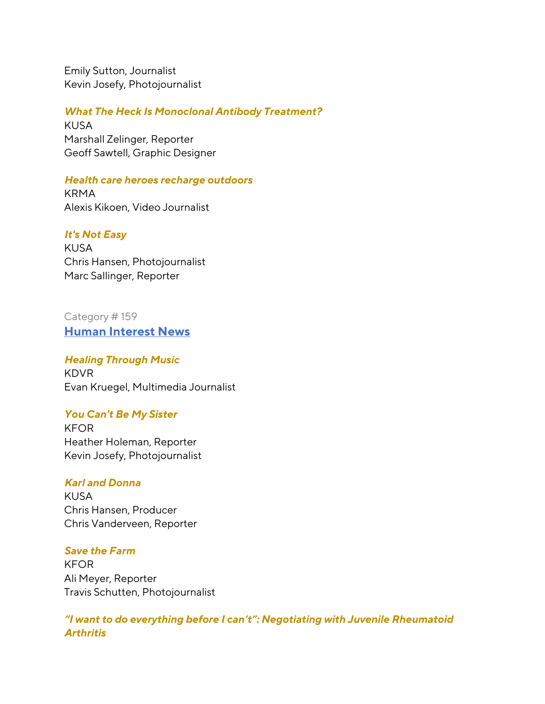Emily Sutton, Journalist Kevin Josefy, Photojournalist

*What The Heck Is Monoclonal Antibody Treatment?*

KUSA Marshall Zelinger, Reporter Geoff Sawtell, Graphic Designer

## *Health care heroes recharge outdoors*

KRMA Alexis Kikoen, Video Journalist

## *It's Not Easy*

KUSA Chris Hansen, Photojournalist Marc Sallinger, Reporter

## Category # 159 **Human Interest News**

# *Healing Through Music*

KDVR Evan Kruegel, Multimedia Journalist

### *You Can't Be My Sister*

KFOR Heather Holeman, Reporter Kevin Josefy, Photojournalist

## *Karl and Donna*

KUSA Chris Hansen, Producer Chris Vanderveen, Reporter

### *Save the Farm*

KFOR Ali Meyer, Reporter Travis Schutten, Photojournalist

*"I want to do everything before I can't": Negotiating with Juvenile Rheumatoid Arthritis*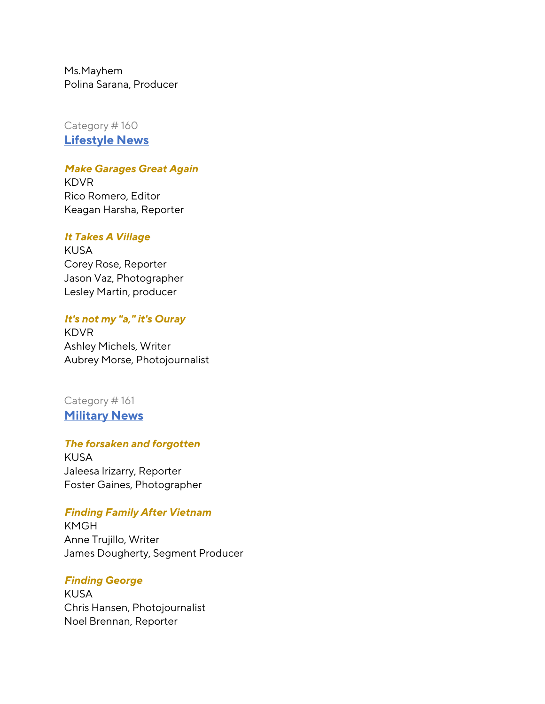Ms.Mayhem Polina Sarana, Producer

Category # 160 **Lifestyle News** 

### *Make Garages Great Again*

KDVR Rico Romero, Editor Keagan Harsha, Reporter

#### *It Takes A Village*

KUSA Corey Rose, Reporter Jason Vaz, Photographer Lesley Martin, producer

### *It's not my "a," it's Ouray*

KDVR Ashley Michels, Writer Aubrey Morse, Photojournalist

## Category # 161 **Military News**

#### *The forsaken and forgotten*

KUSA Jaleesa Irizarry, Reporter Foster Gaines, Photographer

#### *Finding Family After Vietnam*

KMGH Anne Trujillo, Writer James Dougherty, Segment Producer

#### *Finding George*

KUSA Chris Hansen, Photojournalist Noel Brennan, Reporter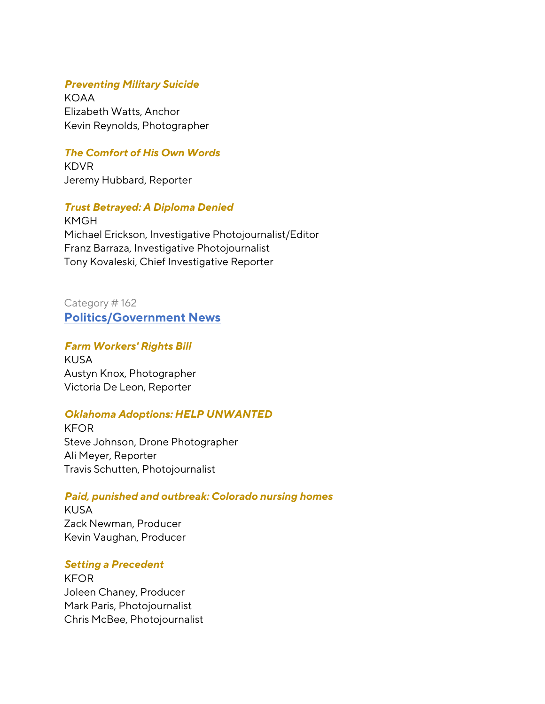### *Preventing Military Suicide*

KOAA Elizabeth Watts, Anchor Kevin Reynolds, Photographer

## *The Comfort of His Own Words*

KDVR Jeremy Hubbard, Reporter

## *Trust Betrayed: A Diploma Denied*

KMGH Michael Erickson, Investigative Photojournalist/Editor Franz Barraza, Investigative Photojournalist Tony Kovaleski, Chief Investigative Reporter

Category # 162 **Politics/Government News** 

### *Farm Workers' Rights Bill*

KUSA Austyn Knox, Photographer Victoria De Leon, Reporter

## *Oklahoma Adoptions: HELP UNWANTED*

KFOR Steve Johnson, Drone Photographer Ali Meyer, Reporter Travis Schutten, Photojournalist

### *Paid, punished and outbreak: Colorado nursing homes*

KUSA Zack Newman, Producer Kevin Vaughan, Producer

### *Setting a Precedent*

KFOR Joleen Chaney, Producer Mark Paris, Photojournalist Chris McBee, Photojournalist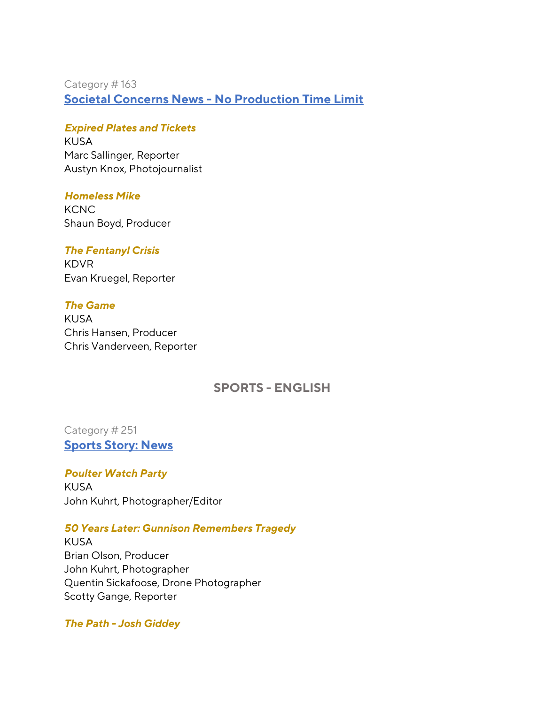Category # 163 **Societal Concerns News - No Production Time Limit**

### *Expired Plates and Tickets*

KUSA Marc Sallinger, Reporter Austyn Knox, Photojournalist

### *Homeless Mike*

**KCNC** Shaun Boyd, Producer

### *The Fentanyl Crisis*

KDVR Evan Kruegel, Reporter

## *The Game*

KUSA Chris Hansen, Producer Chris Vanderveen, Reporter

## **SPORTS - ENGLISH**

## Category # 251 **Sports Story: News**

*Poulter Watch Party*  KUSA John Kuhrt, Photographer/Editor

### *50 Years Later: Gunnison Remembers Tragedy*

KUSA Brian Olson, Producer John Kuhrt, Photographer Quentin Sickafoose, Drone Photographer Scotty Gange, Reporter

### *The Path - Josh Giddey*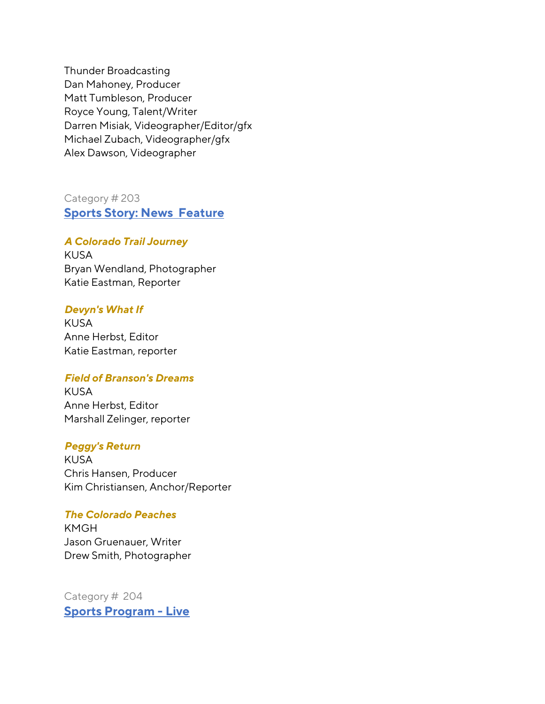Thunder Broadcasting Dan Mahoney, Producer Matt Tumbleson, Producer Royce Young, Talent/Writer Darren Misiak, Videographer/Editor/gfx Michael Zubach, Videographer/gfx Alex Dawson, Videographer

Category # 203 **Sports Story: News Feature**

#### *A Colorado Trail Journey*

KUSA Bryan Wendland, Photographer Katie Eastman, Reporter

#### *Devyn's What If*

KUSA Anne Herbst, Editor Katie Eastman, reporter

### *Field of Branson's Dreams*

KUSA Anne Herbst, Editor Marshall Zelinger, reporter

#### *Peggy's Return*

KUSA Chris Hansen, Producer Kim Christiansen, Anchor/Reporter

### *The Colorado Peaches*

KMGH Jason Gruenauer, Writer Drew Smith, Photographer

Category # 204 **Sports Program - Live**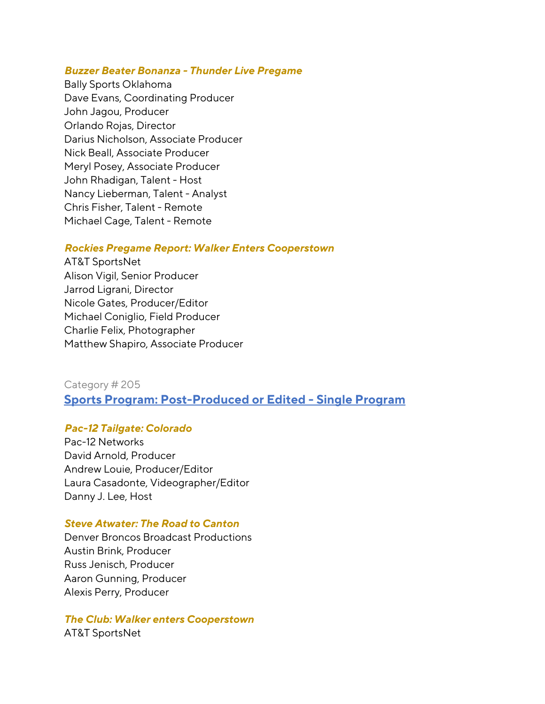#### *Buzzer Beater Bonanza - Thunder Live Pregame*

Bally Sports Oklahoma Dave Evans, Coordinating Producer John Jagou, Producer Orlando Rojas, Director Darius Nicholson, Associate Producer Nick Beall, Associate Producer Meryl Posey, Associate Producer John Rhadigan, Talent - Host Nancy Lieberman, Talent - Analyst Chris Fisher, Talent - Remote Michael Cage, Talent - Remote

#### *Rockies Pregame Report: Walker Enters Cooperstown*

AT&T SportsNet Alison Vigil, Senior Producer Jarrod Ligrani, Director Nicole Gates, Producer/Editor Michael Coniglio, Field Producer Charlie Felix, Photographer Matthew Shapiro, Associate Producer

## Category # 205 **Sports Program: Post-Produced or Edited - Single Program**

#### *Pac-12 Tailgate: Colorado*

Pac-12 Networks David Arnold, Producer Andrew Louie, Producer/Editor Laura Casadonte, Videographer/Editor Danny J. Lee, Host

### *Steve Atwater: The Road to Canton*

Denver Broncos Broadcast Productions Austin Brink, Producer Russ Jenisch, Producer Aaron Gunning, Producer Alexis Perry, Producer

#### *The Club: Walker enters Cooperstown*

AT&T SportsNet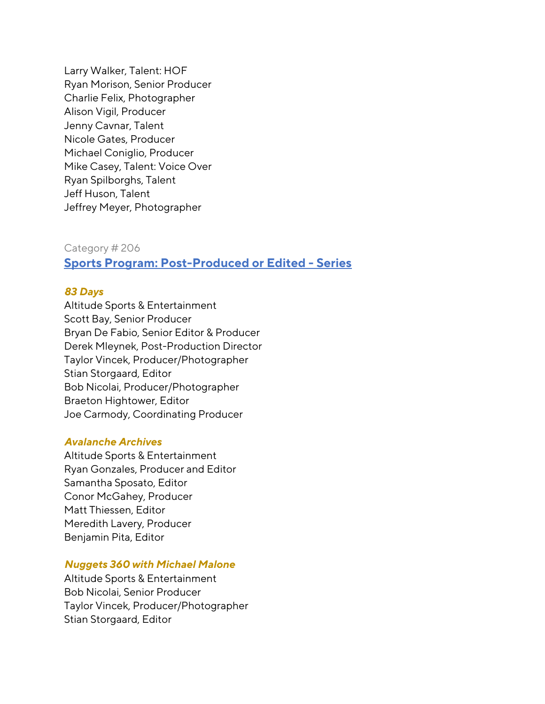Larry Walker, Talent: HOF Ryan Morison, Senior Producer Charlie Felix, Photographer Alison Vigil, Producer Jenny Cavnar, Talent Nicole Gates, Producer Michael Coniglio, Producer Mike Casey, Talent: Voice Over Ryan Spilborghs, Talent Jeff Huson, Talent Jeffrey Meyer, Photographer

## Category # 206 **Sports Program: Post-Produced or Edited - Series**

## *83 Days*

Altitude Sports & Entertainment Scott Bay, Senior Producer Bryan De Fabio, Senior Editor & Producer Derek Mleynek, Post-Production Director Taylor Vincek, Producer/Photographer Stian Storgaard, Editor Bob Nicolai, Producer/Photographer Braeton Hightower, Editor Joe Carmody, Coordinating Producer

#### *Avalanche Archives*

Altitude Sports & Entertainment Ryan Gonzales, Producer and Editor Samantha Sposato, Editor Conor McGahey, Producer Matt Thiessen, Editor Meredith Lavery, Producer Benjamin Pita, Editor

### *Nuggets 360 with Michael Malone*

Altitude Sports & Entertainment Bob Nicolai, Senior Producer Taylor Vincek, Producer/Photographer Stian Storgaard, Editor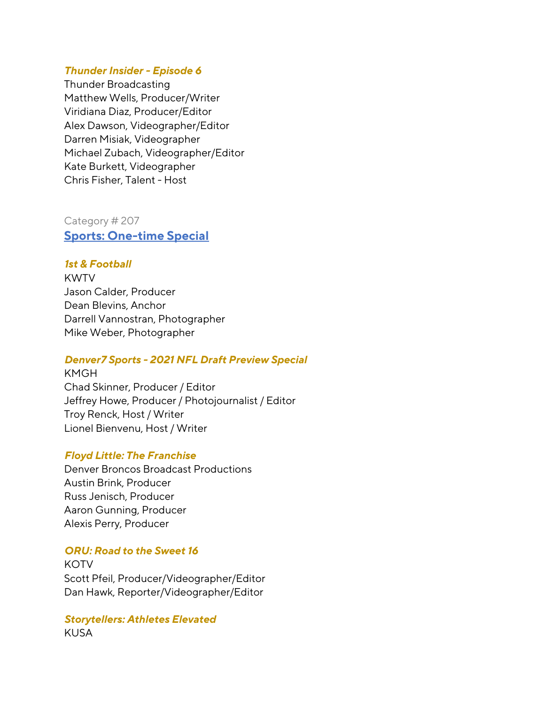### *Thunder Insider - Episode 6*

Thunder Broadcasting Matthew Wells, Producer/Writer Viridiana Diaz, Producer/Editor Alex Dawson, Videographer/Editor Darren Misiak, Videographer Michael Zubach, Videographer/Editor Kate Burkett, Videographer Chris Fisher, Talent - Host

Category # 207 **Sports: One-time Special**

### *1st & Football*

KWTV Jason Calder, Producer Dean Blevins, Anchor Darrell Vannostran, Photographer Mike Weber, Photographer

### *Denver7 Sports - 2021 NFL Draft Preview Special*

KMGH Chad Skinner, Producer / Editor Jeffrey Howe, Producer / Photojournalist / Editor Troy Renck, Host / Writer Lionel Bienvenu, Host / Writer

#### *Floyd Little: The Franchise*

Denver Broncos Broadcast Productions Austin Brink, Producer Russ Jenisch, Producer Aaron Gunning, Producer Alexis Perry, Producer

### *ORU: Road to the Sweet 16*

**KOTV** Scott Pfeil, Producer/Videographer/Editor Dan Hawk, Reporter/Videographer/Editor

#### *Storytellers: Athletes Elevated* KUSA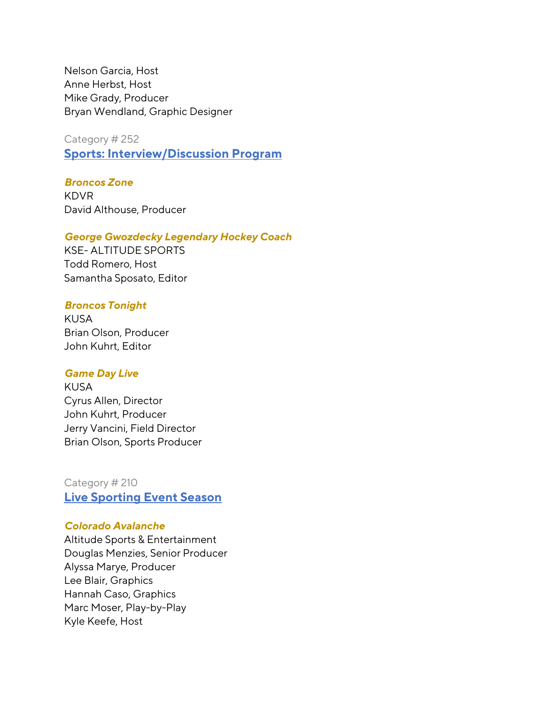Nelson Garcia, Host Anne Herbst, Host Mike Grady, Producer Bryan Wendland, Graphic Designer

Category # 252

**Sports: Interview/Discussion Program**

### *Broncos Zone*

KDVR David Althouse, Producer

#### *George Gwozdecky Legendary Hockey Coach*

KSE- ALTITUDE SPORTS Todd Romero, Host Samantha Sposato, Editor

#### *Broncos Tonight*

KUSA Brian Olson, Producer John Kuhrt, Editor

#### *Game Day Live*

KUSA Cyrus Allen, Director John Kuhrt, Producer Jerry Vancini, Field Director Brian Olson, Sports Producer

## Category # 210 **Live Sporting Event Season**

### *Colorado Avalanche*

Altitude Sports & Entertainment Douglas Menzies, Senior Producer Alyssa Marye, Producer Lee Blair, Graphics Hannah Caso, Graphics Marc Moser, Play-by-Play Kyle Keefe, Host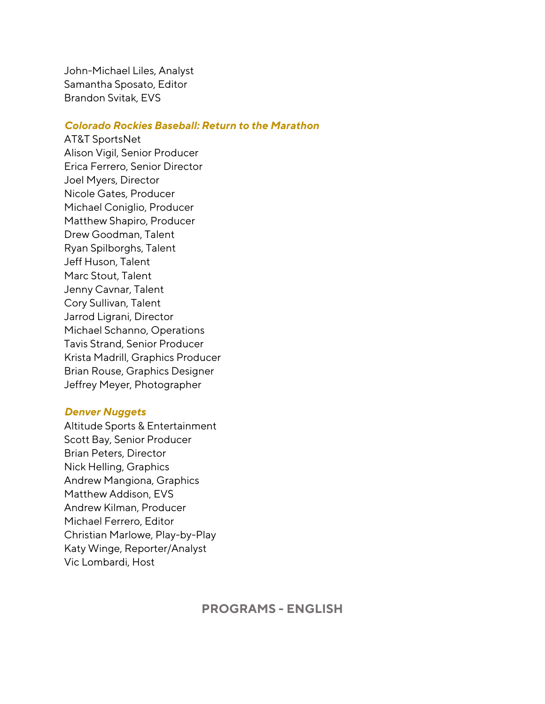John-Michael Liles, Analyst Samantha Sposato, Editor Brandon Svitak, EVS

### *Colorado Rockies Baseball: Return to the Marathon*

AT&T SportsNet Alison Vigil, Senior Producer Erica Ferrero, Senior Director Joel Myers, Director Nicole Gates, Producer Michael Coniglio, Producer Matthew Shapiro, Producer Drew Goodman, Talent Ryan Spilborghs, Talent Jeff Huson, Talent Marc Stout, Talent Jenny Cavnar, Talent Cory Sullivan, Talent Jarrod Ligrani, Director Michael Schanno, Operations Tavis Strand, Senior Producer Krista Madrill, Graphics Producer Brian Rouse, Graphics Designer Jeffrey Meyer, Photographer

#### *Denver Nuggets*

Altitude Sports & Entertainment Scott Bay, Senior Producer Brian Peters, Director Nick Helling, Graphics Andrew Mangiona, Graphics Matthew Addison, EVS Andrew Kilman, Producer Michael Ferrero, Editor Christian Marlowe, Play-by-Play Katy Winge, Reporter/Analyst Vic Lombardi, Host

**PROGRAMS - ENGLISH**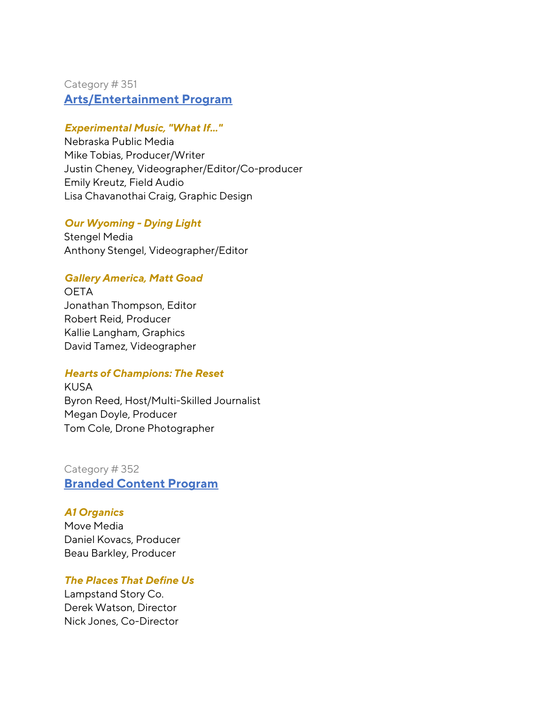## Category # 351 **Arts/Entertainment Program**

## *Experimental Music, "What If..."*

Nebraska Public Media Mike Tobias, Producer/Writer Justin Cheney, Videographer/Editor/Co-producer Emily Kreutz, Field Audio Lisa Chavanothai Craig, Graphic Design

## *Our Wyoming - Dying Light*

Stengel Media Anthony Stengel, Videographer/Editor

## *Gallery America, Matt Goad*

**OETA** Jonathan Thompson, Editor Robert Reid, Producer Kallie Langham, Graphics David Tamez, Videographer

## *Hearts of Champions: The Reset*

KUSA Byron Reed, Host/Multi-Skilled Journalist Megan Doyle, Producer Tom Cole, Drone Photographer

Category # 352 **Branded Content Program**

### *A1 Organics*

Move Media Daniel Kovacs, Producer Beau Barkley, Producer

*The Places That Define Us*

Lampstand Story Co. Derek Watson, Director Nick Jones, Co-Director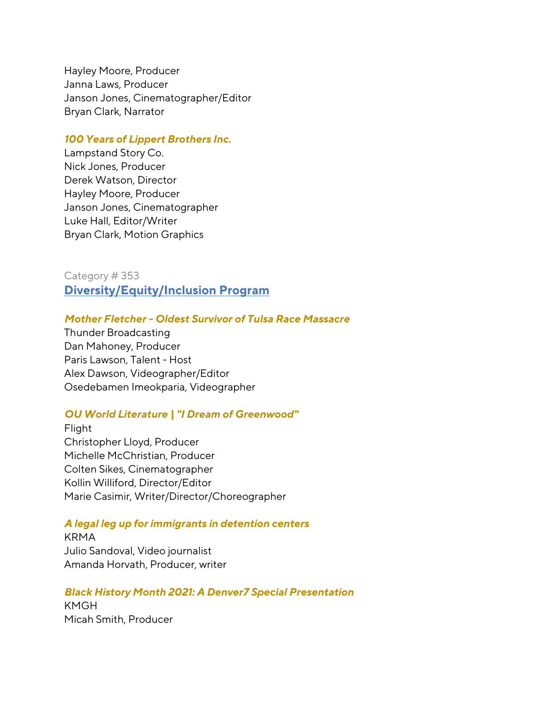Hayley Moore, Producer Janna Laws, Producer Janson Jones, Cinematographer/Editor Bryan Clark, Narrator

#### *100 Years of Lippert Brothers Inc.*

Lampstand Story Co. Nick Jones, Producer Derek Watson, Director Hayley Moore, Producer Janson Jones, Cinematographer Luke Hall, Editor/Writer Bryan Clark, Motion Graphics

Category # 353 **Diversity/Equity/Inclusion Program**

### *Mother Fletcher - Oldest Survivor of Tulsa Race Massacre*

Thunder Broadcasting Dan Mahoney, Producer Paris Lawson, Talent - Host Alex Dawson, Videographer/Editor Osedebamen Imeokparia, Videographer

#### *OU World Literature | "I Dream of Greenwood"*

Flight Christopher Lloyd, Producer Michelle McChristian, Producer Colten Sikes, Cinematographer Kollin Williford, Director/Editor Marie Casimir, Writer/Director/Choreographer

#### *A legal leg up for immigrants in detention centers*

KRMA Julio Sandoval, Video journalist Amanda Horvath, Producer, writer

#### *Black History Month 2021: A Denver7 Special Presentation*

KMGH Micah Smith, Producer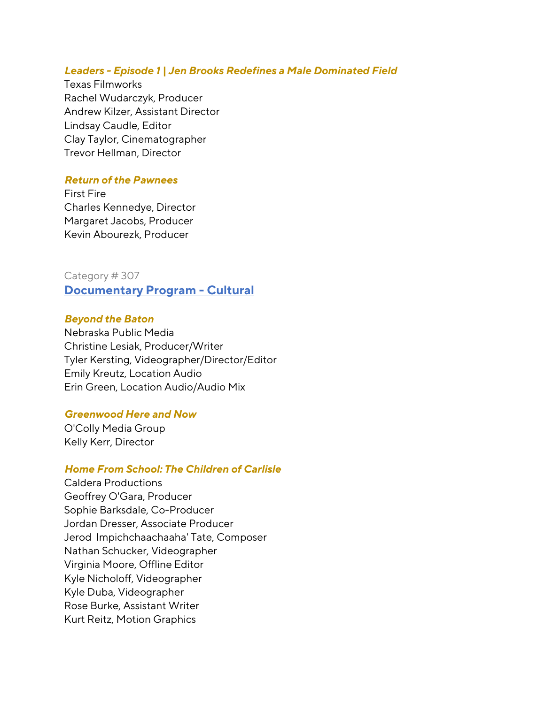#### *Leaders - Episode 1 | Jen Brooks Redefines a Male Dominated Field*

Texas Filmworks Rachel Wudarczyk, Producer Andrew Kilzer, Assistant Director Lindsay Caudle, Editor Clay Taylor, Cinematographer Trevor Hellman, Director

### *Return of the Pawnees*

First Fire Charles Kennedye, Director Margaret Jacobs, Producer Kevin Abourezk, Producer

Category # 307 **Documentary Program - Cultural**

#### *Beyond the Baton*

Nebraska Public Media Christine Lesiak, Producer/Writer Tyler Kersting, Videographer/Director/Editor Emily Kreutz, Location Audio Erin Green, Location Audio/Audio Mix

### *Greenwood Here and Now*

O'Colly Media Group Kelly Kerr, Director

### *Home From School: The Children of Carlisle*

Caldera Productions Geoffrey O'Gara, Producer Sophie Barksdale, Co-Producer Jordan Dresser, Associate Producer Jerod Impichchaachaaha' Tate, Composer Nathan Schucker, Videographer Virginia Moore, Offline Editor Kyle Nicholoff, Videographer Kyle Duba, Videographer Rose Burke, Assistant Writer Kurt Reitz, Motion Graphics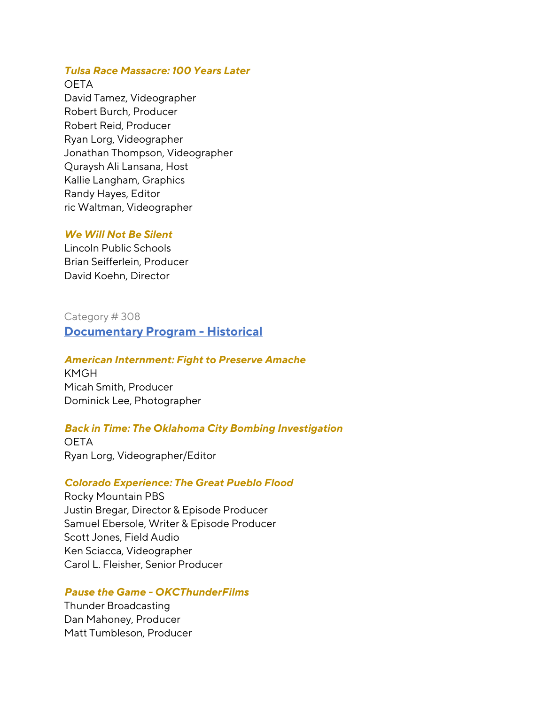## *Tulsa Race Massacre: 100 Years Later*

### **OETA**

David Tamez, Videographer Robert Burch, Producer Robert Reid, Producer Ryan Lorg, Videographer Jonathan Thompson, Videographer Quraysh Ali Lansana, Host Kallie Langham, Graphics Randy Hayes, Editor ric Waltman, Videographer

## *We Will Not Be Silent*

Lincoln Public Schools Brian Seifferlein, Producer David Koehn, Director

## Category # 308 **Documentary Program - Historical**

## *American Internment: Fight to Preserve Amache*

KMGH Micah Smith, Producer Dominick Lee, Photographer

## *Back in Time: The Oklahoma City Bombing Investigation*

**OETA** Ryan Lorg, Videographer/Editor

### *Colorado Experience: The Great Pueblo Flood*

Rocky Mountain PBS Justin Bregar, Director & Episode Producer Samuel Ebersole, Writer & Episode Producer Scott Jones, Field Audio Ken Sciacca, Videographer Carol L. Fleisher, Senior Producer

### *Pause the Game - OKCThunderFilms*

Thunder Broadcasting Dan Mahoney, Producer Matt Tumbleson, Producer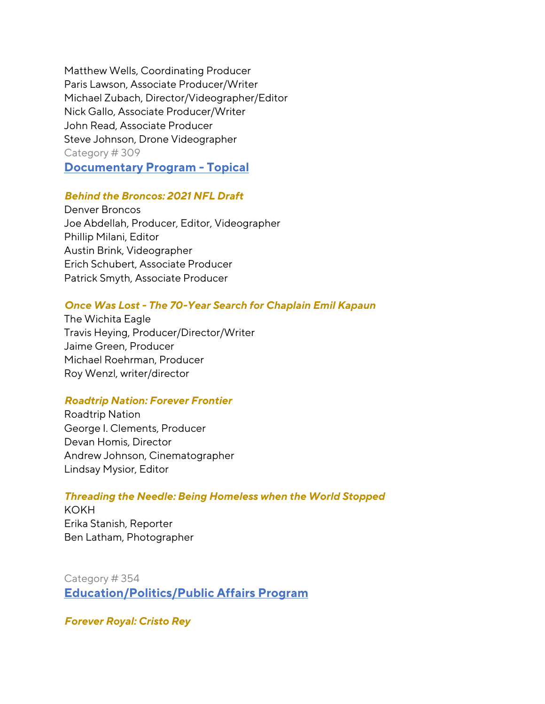Matthew Wells, Coordinating Producer Paris Lawson, Associate Producer/Writer Michael Zubach, Director/Videographer/Editor Nick Gallo, Associate Producer/Writer John Read, Associate Producer Steve Johnson, Drone Videographer Category # 309

**Documentary Program - Topical**

## *Behind the Broncos: 2021 NFL Draft*

Denver Broncos Joe Abdellah, Producer, Editor, Videographer Phillip Milani, Editor Austin Brink, Videographer Erich Schubert, Associate Producer Patrick Smyth, Associate Producer

## *Once Was Lost - The 70-Year Search for Chaplain Emil Kapaun*

The Wichita Eagle Travis Heying, Producer/Director/Writer Jaime Green, Producer Michael Roehrman, Producer Roy Wenzl, writer/director

### *Roadtrip Nation: Forever Frontier*

Roadtrip Nation George I. Clements, Producer Devan Homis, Director Andrew Johnson, Cinematographer Lindsay Mysior, Editor

### *Threading the Needle: Being Homeless when the World Stopped*

KOKH Erika Stanish, Reporter Ben Latham, Photographer

Category # 354 **Education/Politics/Public Affairs Program**

*Forever Royal: Cristo Rey*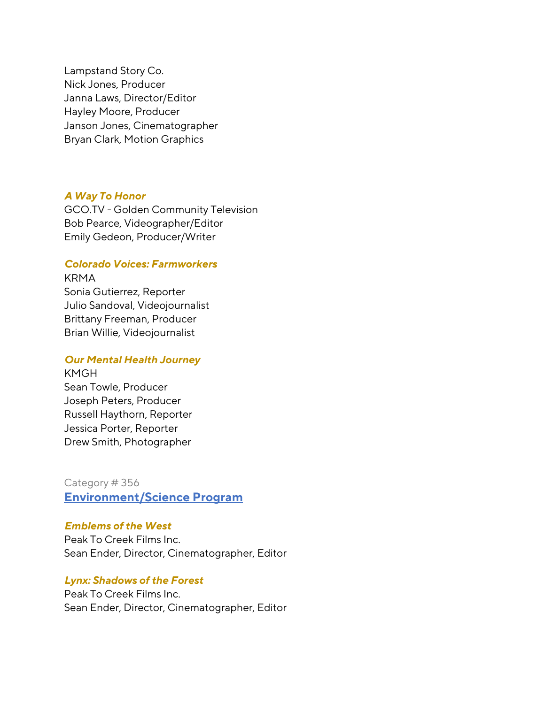Lampstand Story Co. Nick Jones, Producer Janna Laws, Director/Editor Hayley Moore, Producer Janson Jones, Cinematographer Bryan Clark, Motion Graphics

#### *A Way To Honor*

GCO.TV - Golden Community Television Bob Pearce, Videographer/Editor Emily Gedeon, Producer/Writer

### *Colorado Voices: Farmworkers*

KRMA Sonia Gutierrez, Reporter Julio Sandoval, Videojournalist Brittany Freeman, Producer Brian Willie, Videojournalist

#### *Our Mental Health Journey*

KMGH Sean Towle, Producer Joseph Peters, Producer Russell Haythorn, Reporter Jessica Porter, Reporter Drew Smith, Photographer

Category # 356 **Environment/Science Program**

### *Emblems of the West*

Peak To Creek Films Inc. Sean Ender, Director, Cinematographer, Editor

### *Lynx: Shadows of the Forest*

Peak To Creek Films Inc. Sean Ender, Director, Cinematographer, Editor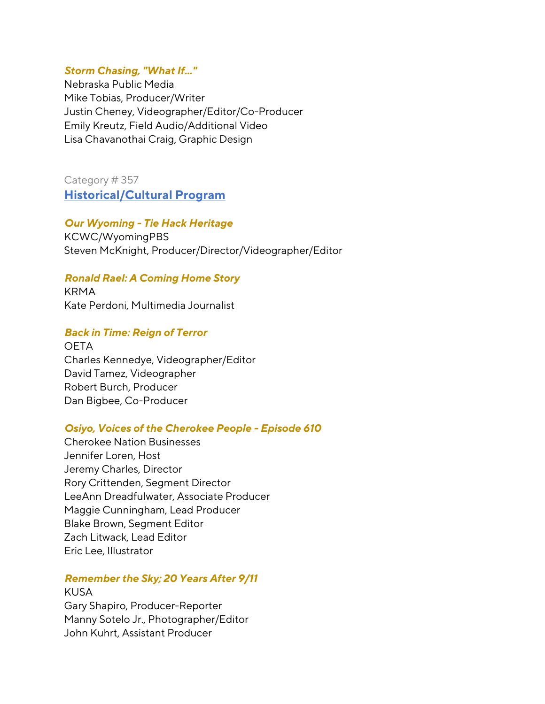### *Storm Chasing, "What If..."*

Nebraska Public Media Mike Tobias, Producer/Writer Justin Cheney, Videographer/Editor/Co-Producer Emily Kreutz, Field Audio/Additional Video Lisa Chavanothai Craig, Graphic Design

Category # 357 **Historical/Cultural Program** 

### *Our Wyoming - Tie Hack Heritage*

KCWC/WyomingPBS Steven McKnight, Producer/Director/Videographer/Editor

### *Ronald Rael: A Coming Home Story*

KRMA Kate Perdoni, Multimedia Journalist

### *Back in Time: Reign of Terror*

**OETA** Charles Kennedye, Videographer/Editor David Tamez, Videographer Robert Burch, Producer Dan Bigbee, Co-Producer

#### *Osiyo, Voices of the Cherokee People - Episode 610*

Cherokee Nation Businesses Jennifer Loren, Host Jeremy Charles, Director Rory Crittenden, Segment Director LeeAnn Dreadfulwater, Associate Producer Maggie Cunningham, Lead Producer Blake Brown, Segment Editor Zach Litwack, Lead Editor Eric Lee, Illustrator

### *Remember the Sky; 20 Years After 9/11*

KUSA Gary Shapiro, Producer-Reporter Manny Sotelo Jr., Photographer/Editor John Kuhrt, Assistant Producer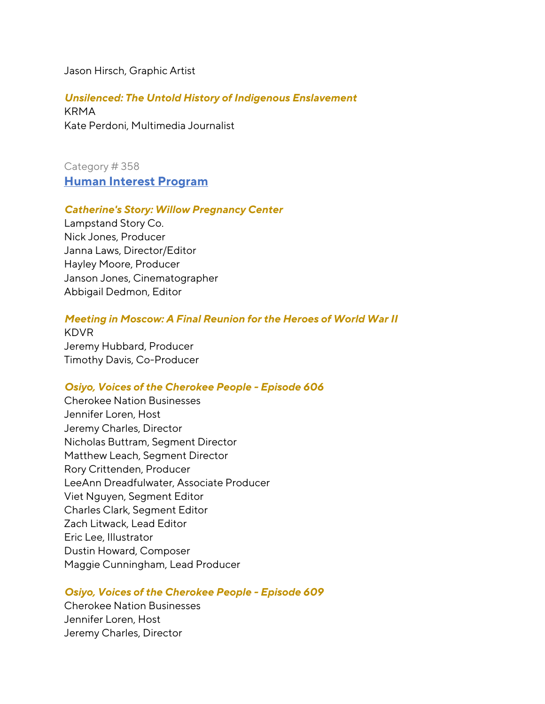Jason Hirsch, Graphic Artist

*Unsilenced: The Untold History of Indigenous Enslavement* KRMA Kate Perdoni, Multimedia Journalist

Category # 358 **Human Interest Program** 

#### *Catherine's Story: Willow Pregnancy Center*

Lampstand Story Co. Nick Jones, Producer Janna Laws, Director/Editor Hayley Moore, Producer Janson Jones, Cinematographer Abbigail Dedmon, Editor

### *Meeting in Moscow: A Final Reunion for the Heroes of World War II*

KDVR Jeremy Hubbard, Producer Timothy Davis, Co-Producer

### *Osiyo, Voices of the Cherokee People - Episode 606*

Cherokee Nation Businesses Jennifer Loren, Host Jeremy Charles, Director Nicholas Buttram, Segment Director Matthew Leach, Segment Director Rory Crittenden, Producer LeeAnn Dreadfulwater, Associate Producer Viet Nguyen, Segment Editor Charles Clark, Segment Editor Zach Litwack, Lead Editor Eric Lee, Illustrator Dustin Howard, Composer Maggie Cunningham, Lead Producer

### *Osiyo, Voices of the Cherokee People - Episode 609*

Cherokee Nation Businesses Jennifer Loren, Host Jeremy Charles, Director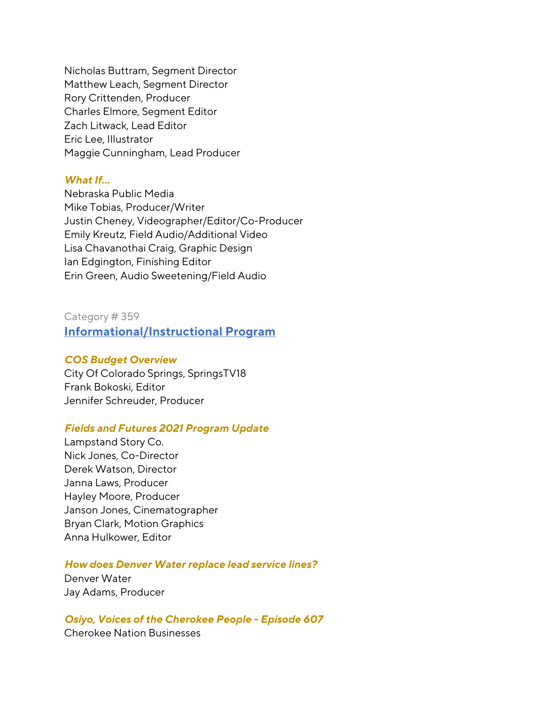Nicholas Buttram, Segment Director Matthew Leach, Segment Director Rory Crittenden, Producer Charles Elmore, Segment Editor Zach Litwack, Lead Editor Eric Lee, Illustrator Maggie Cunningham, Lead Producer

### *What If...*

Nebraska Public Media Mike Tobias, Producer/Writer Justin Cheney, Videographer/Editor/Co-Producer Emily Kreutz, Field Audio/Additional Video Lisa Chavanothai Craig, Graphic Design Ian Edgington, Finishing Editor Erin Green, Audio Sweetening/Field Audio

Category # 359 **Informational/Instructional Program** 

### *COS Budget Overview*

City Of Colorado Springs, SpringsTV18 Frank Bokoski, Editor Jennifer Schreuder, Producer

### *Fields and Futures 2021 Program Update*

Lampstand Story Co. Nick Jones, Co-Director Derek Watson, Director Janna Laws, Producer Hayley Moore, Producer Janson Jones, Cinematographer Bryan Clark, Motion Graphics Anna Hulkower, Editor

### *How does Denver Water replace lead service lines?*

Denver Water Jay Adams, Producer

### *Osiyo, Voices of the Cherokee People - Episode 607*

Cherokee Nation Businesses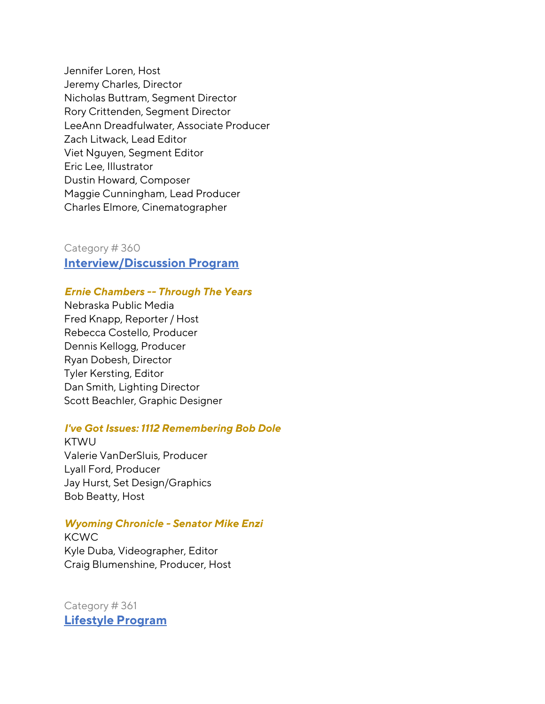Jennifer Loren, Host Jeremy Charles, Director Nicholas Buttram, Segment Director Rory Crittenden, Segment Director LeeAnn Dreadfulwater, Associate Producer Zach Litwack, Lead Editor Viet Nguyen, Segment Editor Eric Lee, Illustrator Dustin Howard, Composer Maggie Cunningham, Lead Producer Charles Elmore, Cinematographer

Category # 360 **Interview/Discussion Program**

### *Ernie Chambers -- Through The Years*

Nebraska Public Media Fred Knapp, Reporter / Host Rebecca Costello, Producer Dennis Kellogg, Producer Ryan Dobesh, Director Tyler Kersting, Editor Dan Smith, Lighting Director Scott Beachler, Graphic Designer

#### *I've Got Issues: 1112 Remembering Bob Dole*

**KTWU** Valerie VanDerSluis, Producer Lyall Ford, Producer Jay Hurst, Set Design/Graphics Bob Beatty, Host

### *Wyoming Chronicle - Senator Mike Enzi*

KCWC Kyle Duba, Videographer, Editor Craig Blumenshine, Producer, Host

Category # 361 **Lifestyle Program**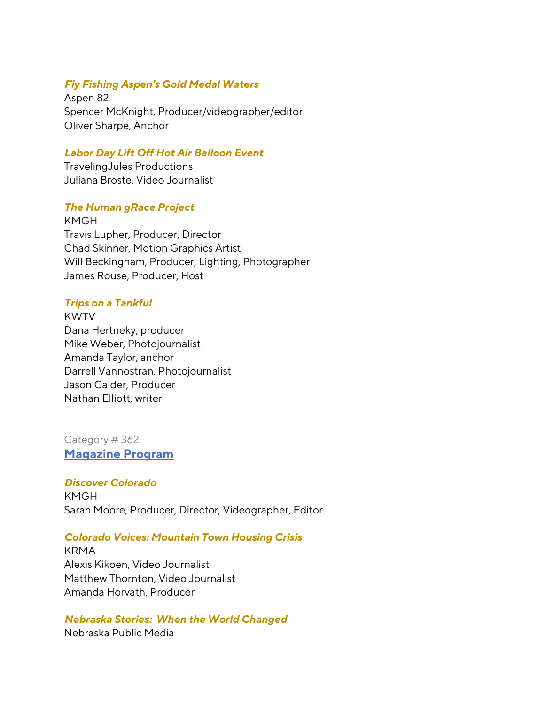## *Fly Fishing Aspen's Gold Medal Waters*

Aspen 82 Spencer McKnight, Producer/videographer/editor Oliver Sharpe, Anchor

### *Labor Day Lift Off Hot Air Balloon Event*

TravelingJules Productions Juliana Broste, Video Journalist

## *The Human gRace Project*

KMGH Travis Lupher, Producer, Director Chad Skinner, Motion Graphics Artist Will Beckingham, Producer, Lighting, Photographer James Rouse, Producer, Host

## *Trips on a Tankful*

KWTV Dana Hertneky, producer Mike Weber, Photojournalist Amanda Taylor, anchor Darrell Vannostran, Photojournalist Jason Calder, Producer Nathan Elliott, writer

# Category # 362

**Magazine Program**

### *Discover Colorado*

KMGH Sarah Moore, Producer, Director, Videographer, Editor

### *Colorado Voices: Mountain Town Housing Crisis*

KRMA Alexis Kikoen, Video Journalist Matthew Thornton, Video Journalist Amanda Horvath, Producer

#### *Nebraska Stories: When the World Changed*

Nebraska Public Media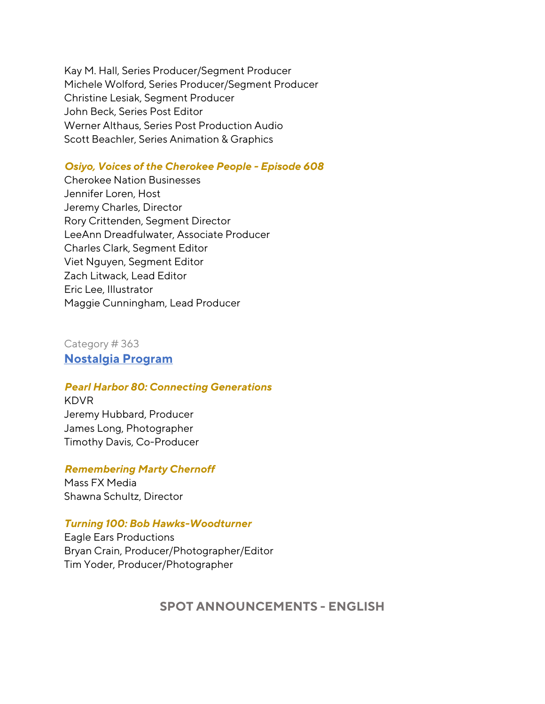Kay M. Hall, Series Producer/Segment Producer Michele Wolford, Series Producer/Segment Producer Christine Lesiak, Segment Producer John Beck, Series Post Editor Werner Althaus, Series Post Production Audio Scott Beachler, Series Animation & Graphics

### *Osiyo, Voices of the Cherokee People - Episode 608*

Cherokee Nation Businesses Jennifer Loren, Host Jeremy Charles, Director Rory Crittenden, Segment Director LeeAnn Dreadfulwater, Associate Producer Charles Clark, Segment Editor Viet Nguyen, Segment Editor Zach Litwack, Lead Editor Eric Lee, Illustrator Maggie Cunningham, Lead Producer

Category # 363 **Nostalgia Program**

#### *Pearl Harbor 80: Connecting Generations*

KDVR Jeremy Hubbard, Producer James Long, Photographer Timothy Davis, Co-Producer

### *Remembering Marty Chernoff*

Mass FX Media Shawna Schultz, Director

### *Turning 100: Bob Hawks-Woodturner*

Eagle Ears Productions Bryan Crain, Producer/Photographer/Editor Tim Yoder, Producer/Photographer

## **SPOT ANNOUNCEMENTS - ENGLISH**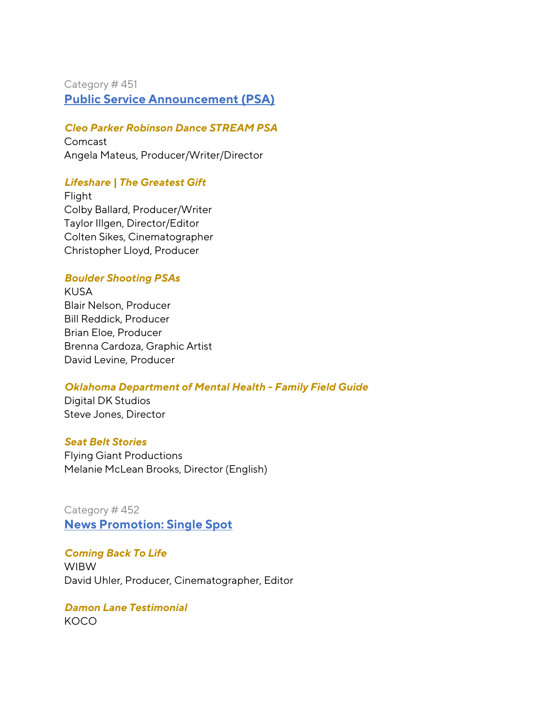## Category # 451 **Public Service Announcement (PSA)**

## *Cleo Parker Robinson Dance STREAM PSA*

Comcast Angela Mateus, Producer/Writer/Director

## *Lifeshare | The Greatest Gift*

Flight Colby Ballard, Producer/Writer Taylor Illgen, Director/Editor Colten Sikes, Cinematographer Christopher Lloyd, Producer

## *Boulder Shooting PSAs*

KUSA Blair Nelson, Producer Bill Reddick, Producer Brian Eloe, Producer Brenna Cardoza, Graphic Artist David Levine, Producer

### *Oklahoma Department of Mental Health - Family Field Guide*

Digital DK Studios Steve Jones, Director

### *Seat Belt Stories*

Flying Giant Productions Melanie McLean Brooks, Director (English)

Category # 452 **News Promotion: Single Spot**

## *Coming Back To Life*

WIBW David Uhler, Producer, Cinematographer, Editor

# *Damon Lane Testimonial*

KOCO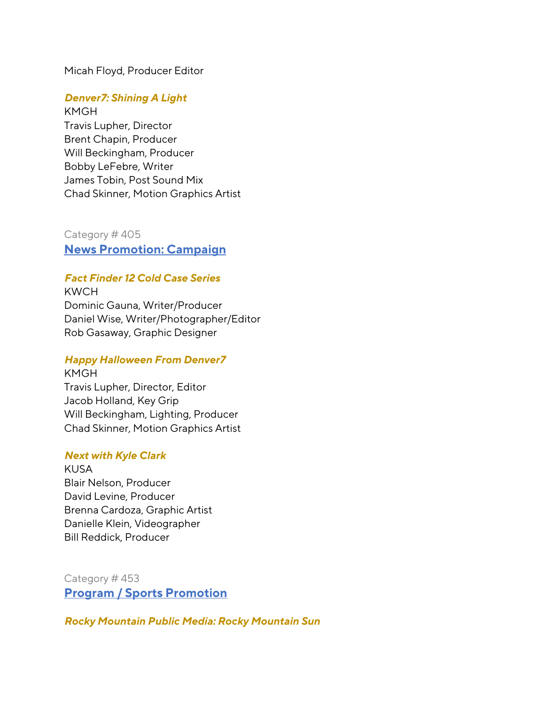Micah Floyd, Producer Editor

### *Denver7: Shining A Light*

KMGH Travis Lupher, Director Brent Chapin, Producer Will Beckingham, Producer Bobby LeFebre, Writer James Tobin, Post Sound Mix Chad Skinner, Motion Graphics Artist

Category # 405 **News Promotion: Campaign**

### *Fact Finder 12 Cold Case Series*

KWCH Dominic Gauna, Writer/Producer Daniel Wise, Writer/Photographer/Editor Rob Gasaway, Graphic Designer

#### *Happy Halloween From Denver7*

KMGH Travis Lupher, Director, Editor Jacob Holland, Key Grip Will Beckingham, Lighting, Producer Chad Skinner, Motion Graphics Artist

### *Next with Kyle Clark*

KUSA Blair Nelson, Producer David Levine, Producer Brenna Cardoza, Graphic Artist Danielle Klein, Videographer Bill Reddick, Producer

Category # 453 **Program / Sports Promotion**

*Rocky Mountain Public Media: Rocky Mountain Sun*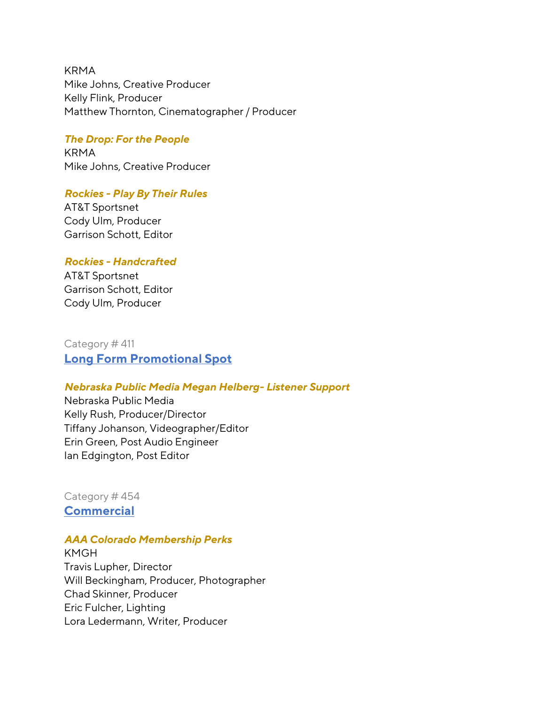KRMA Mike Johns, Creative Producer Kelly Flink, Producer Matthew Thornton, Cinematographer / Producer

### *The Drop: For the People*

KRMA Mike Johns, Creative Producer

#### *Rockies - Play By Their Rules*

AT&T Sportsnet Cody Ulm, Producer Garrison Schott, Editor

### *Rockies - Handcrafted*

AT&T Sportsnet Garrison Schott, Editor Cody Ulm, Producer

Category # 411 **Long Form Promotional Spot**

### *Nebraska Public Media Megan Helberg- Listener Support*

Nebraska Public Media Kelly Rush, Producer/Director Tiffany Johanson, Videographer/Editor Erin Green, Post Audio Engineer Ian Edgington, Post Editor

Category # 454 **Commercial**

#### *AAA Colorado Membership Perks*

KMGH Travis Lupher, Director Will Beckingham, Producer, Photographer Chad Skinner, Producer Eric Fulcher, Lighting Lora Ledermann, Writer, Producer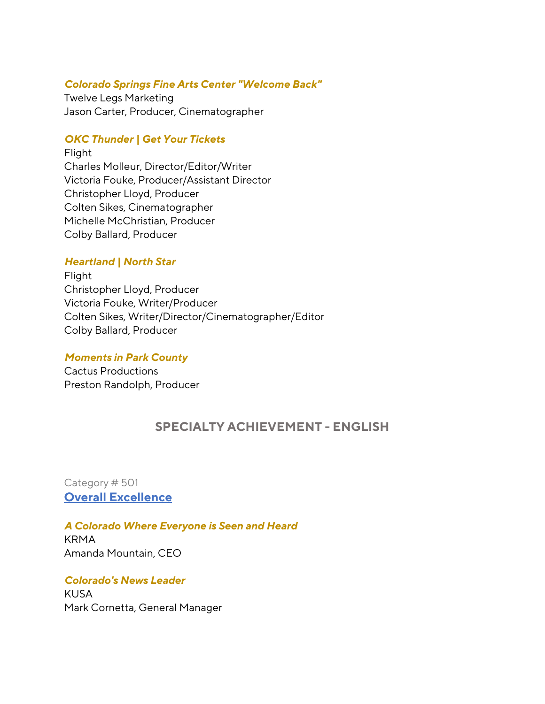### *Colorado Springs Fine Arts Center "Welcome Back"*

Twelve Legs Marketing Jason Carter, Producer, Cinematographer

## *OKC Thunder | Get Your Tickets*

Flight Charles Molleur, Director/Editor/Writer Victoria Fouke, Producer/Assistant Director Christopher Lloyd, Producer Colten Sikes, Cinematographer Michelle McChristian, Producer Colby Ballard, Producer

## *Heartland | North Star*

Flight Christopher Lloyd, Producer Victoria Fouke, Writer/Producer Colten Sikes, Writer/Director/Cinematographer/Editor Colby Ballard, Producer

### *Moments in Park County*

Cactus Productions Preston Randolph, Producer

# **SPECIALTY ACHIEVEMENT - ENGLISH**

Category # 501 **Overall Excellence**

## *A Colorado Where Everyone is Seen and Heard*

KRMA Amanda Mountain, CEO

## *Colorado's News Leader* KUSA Mark Cornetta, General Manager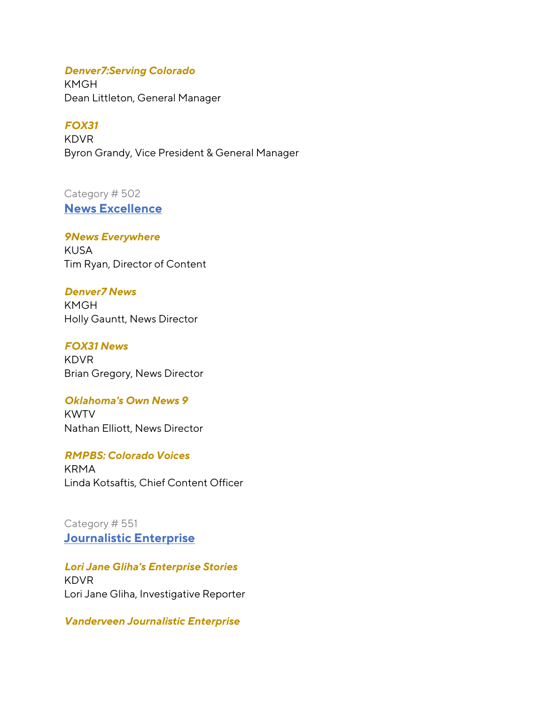### *Denver7:Serving Colorado*

KMGH Dean Littleton, General Manager

### *FOX31*

KDVR Byron Grandy, Vice President & General Manager

## Category # 502 **News Excellence**

*9News Everywhere* KUSA Tim Ryan, Director of Content

### *Denver7 News*

KMGH Holly Gauntt, News Director

*FOX31 News*

KDVR Brian Gregory, News Director

### *Oklahoma's Own News 9*

KWTV Nathan Elliott, News Director

*RMPBS: Colorado Voices* KRMA Linda Kotsaftis, Chief Content Officer

Category # 551 **Journalistic Enterprise**

*Lori Jane Gliha's Enterprise Stories* KDVR Lori Jane Gliha, Investigative Reporter

*Vanderveen Journalistic Enterprise*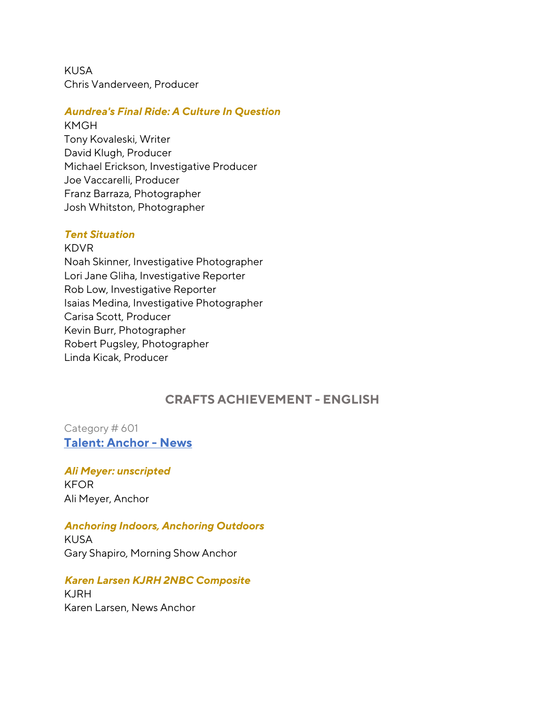KUSA Chris Vanderveen, Producer

### *Aundrea's Final Ride: A Culture In Question*

KMGH Tony Kovaleski, Writer David Klugh, Producer Michael Erickson, Investigative Producer Joe Vaccarelli, Producer Franz Barraza, Photographer Josh Whitston, Photographer

#### *Tent Situation*

KDVR Noah Skinner, Investigative Photographer Lori Jane Gliha, Investigative Reporter Rob Low, Investigative Reporter Isaias Medina, Investigative Photographer Carisa Scott, Producer Kevin Burr, Photographer Robert Pugsley, Photographer Linda Kicak, Producer

## **CRAFTS ACHIEVEMENT - ENGLISH**

Category # 601 **Talent: Anchor - News**

*Ali Meyer: unscripted* KFOR Ali Meyer, Anchor

#### *Anchoring Indoors, Anchoring Outdoors*

KUSA Gary Shapiro, Morning Show Anchor

#### *Karen Larsen KJRH 2NBC Composite*

KJRH Karen Larsen, News Anchor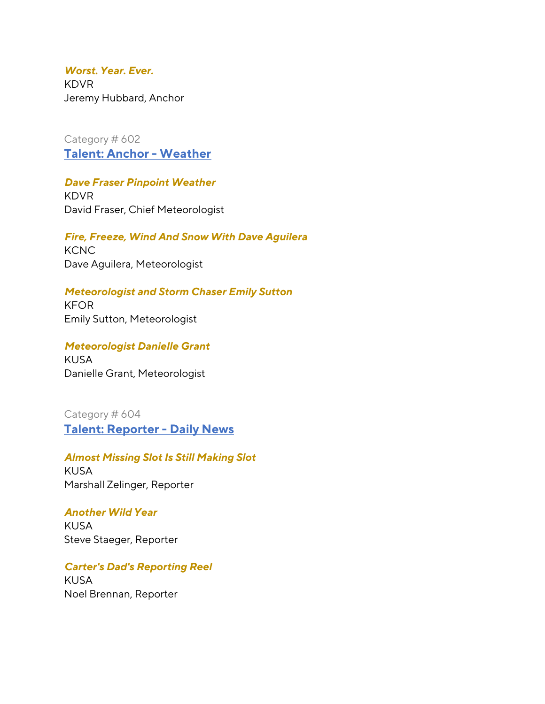*Worst. Year. Ever.* KDVR Jeremy Hubbard, Anchor

Category # 602 **Talent: Anchor - Weather**

### *Dave Fraser Pinpoint Weather*

KDVR David Fraser, Chief Meteorologist

*Fire, Freeze, Wind And Snow With Dave Aguilera* **KCNC** Dave Aguilera, Meteorologist

*Meteorologist and Storm Chaser Emily Sutton* KFOR Emily Sutton, Meteorologist

*Meteorologist Danielle Grant* KUSA Danielle Grant, Meteorologist

Category # 604 **Talent: Reporter - Daily News**

*Almost Missing Slot Is Still Making Slot* KUSA Marshall Zelinger, Reporter

*Another Wild Year*  KUSA Steve Staeger, Reporter

*Carter's Dad's Reporting Reel* KUSA Noel Brennan, Reporter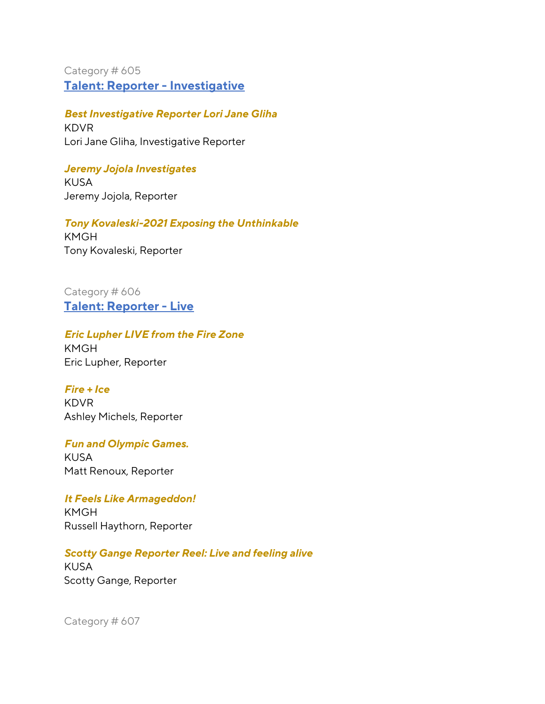Category # 605 **Talent: Reporter - Investigative**

*Best Investigative Reporter Lori Jane Gliha* KDVR Lori Jane Gliha, Investigative Reporter

*Jeremy Jojola Investigates*  KUSA Jeremy Jojola, Reporter

*Tony Kovaleski-2021 Exposing the Unthinkable* KMGH Tony Kovaleski, Reporter

Category # 606 **Talent: Reporter - Live**

## *Eric Lupher LIVE from the Fire Zone*

KMGH Eric Lupher, Reporter

## *Fire + Ice*

KDVR Ashley Michels, Reporter

# *Fun and Olympic Games.*

KUSA Matt Renoux, Reporter

## *It Feels Like Armageddon!*

KMGH Russell Haythorn, Reporter

## *Scotty Gange Reporter Reel: Live and feeling alive*

KUSA Scotty Gange, Reporter

Category # 607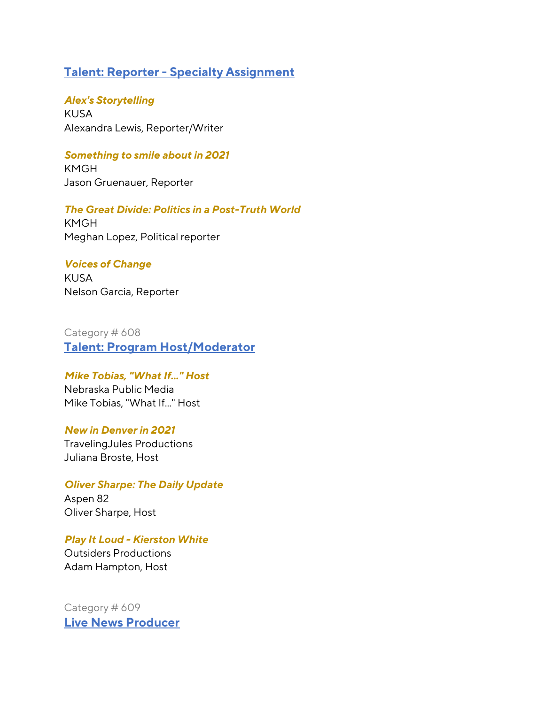## **Talent: Reporter - Specialty Assignment**

*Alex's Storytelling* KUSA Alexandra Lewis, Reporter/Writer

### *Something to smile about in 2021*

KMGH Jason Gruenauer, Reporter

*The Great Divide: Politics in a Post-Truth World*

KMGH Meghan Lopez, Political reporter

### *Voices of Change*

KUSA Nelson Garcia, Reporter

Category # 608 **Talent: Program Host/Moderator**

*Mike Tobias, "What If..." Host* Nebraska Public Media Mike Tobias, "What If..." Host

## *New in Denver in 2021*

TravelingJules Productions Juliana Broste, Host

*Oliver Sharpe: The Daily Update* Aspen 82 Oliver Sharpe, Host

*Play It Loud - Kierston White* Outsiders Productions Adam Hampton, Host

Category # 609 **Live News Producer**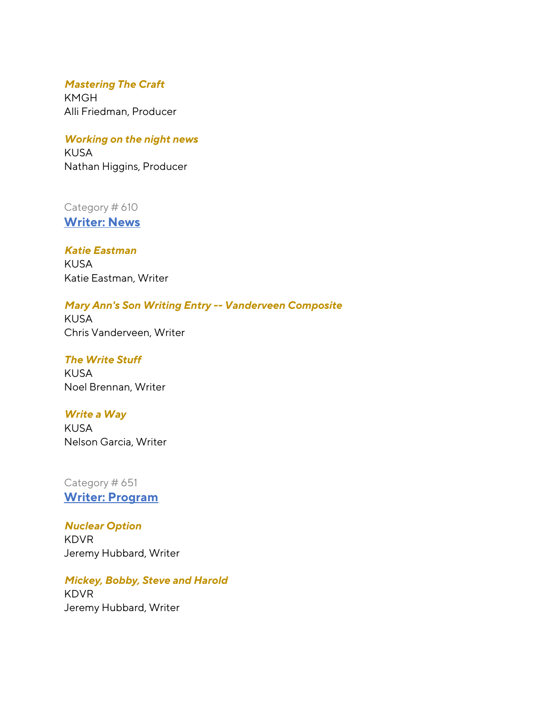## *Mastering The Craft*

KMGH Alli Friedman, Producer

### *Working on the night news*

KUSA Nathan Higgins, Producer

## Category # 610

**Writer: News**

## *Katie Eastman* KUSA Katie Eastman, Writer

## *Mary Ann's Son Writing Entry -- Vanderveen Composite*

KUSA Chris Vanderveen, Writer

# *The Write Stuff*

KUSA Noel Brennan, Writer

## *Write a Way*

KUSA Nelson Garcia, Writer

## Category # 651 **Writer: Program**

## *Nuclear Option*

KDVR Jeremy Hubbard, Writer

## *Mickey, Bobby, Steve and Harold* KDVR Jeremy Hubbard, Writer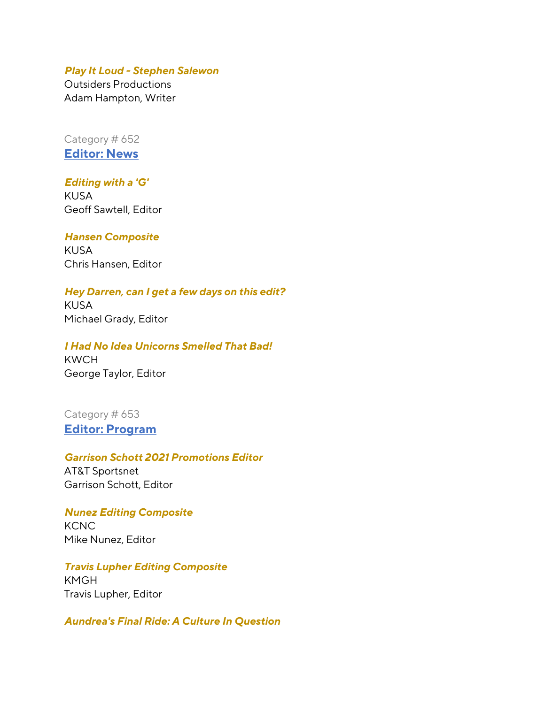#### *Play It Loud - Stephen Salewon*

Outsiders Productions Adam Hampton, Writer

Category # 652 **Editor: News** 

## *Editing with a 'G'*

KUSA Geoff Sawtell, Editor

#### *Hansen Composite*

KUSA Chris Hansen, Editor

## *Hey Darren, can I get a few days on this edit?*

KUSA Michael Grady, Editor

## *I Had No Idea Unicorns Smelled That Bad!* KWCH George Taylor, Editor

Category # 653 **Editor: Program**

### *Garrison Schott 2021 Promotions Editor* AT&T Sportsnet

Garrison Schott, Editor

*Nunez Editing Composite* KCNC Mike Nunez, Editor

*Travis Lupher Editing Composite* KMGH Travis Lupher, Editor

#### *Aundrea's Final Ride: A Culture In Question*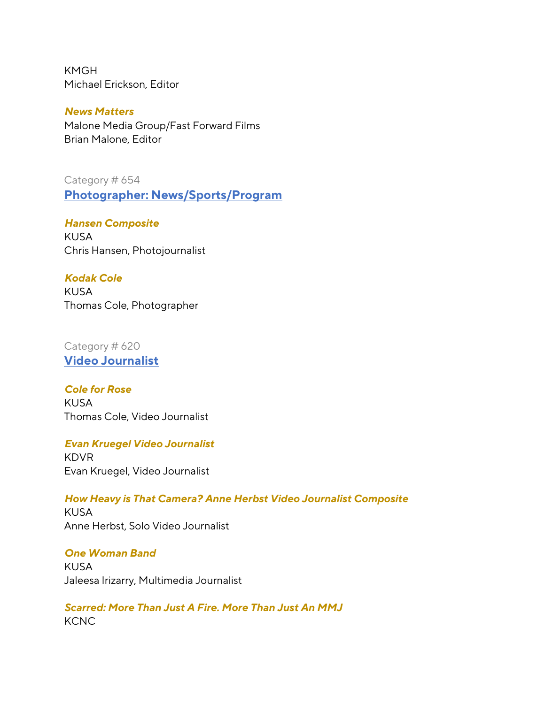KMGH Michael Erickson, Editor

*News Matters* Malone Media Group/Fast Forward Films Brian Malone, Editor

Category # 654 **Photographer: News/Sports/Program**

*Hansen Composite* KUSA Chris Hansen, Photojournalist

## *Kodak Cole*

KUSA Thomas Cole, Photographer

Category # 620 **Video Journalist** 

*Cole for Rose* KUSA Thomas Cole, Video Journalist

### *Evan Kruegel Video Journalist*

KDVR Evan Kruegel, Video Journalist

*How Heavy is That Camera? Anne Herbst Video Journalist Composite* KUSA Anne Herbst, Solo Video Journalist

*One Woman Band*  KUSA Jaleesa Irizarry, Multimedia Journalist

*Scarred: More Than Just A Fire. More Than Just An MMJ* **KCNC**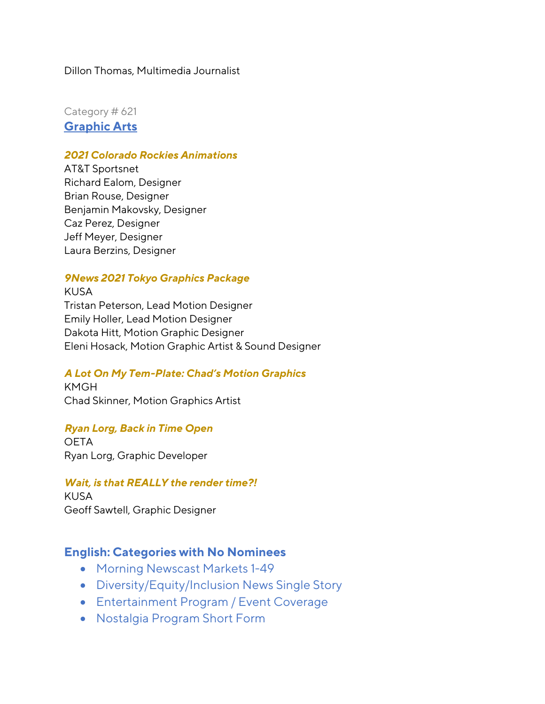### Dillon Thomas, Multimedia Journalist

Category # 621 **Graphic Arts**

### *2021 Colorado Rockies Animations*

AT&T Sportsnet Richard Ealom, Designer Brian Rouse, Designer Benjamin Makovsky, Designer Caz Perez, Designer Jeff Meyer, Designer Laura Berzins, Designer

### *9News 2021 Tokyo Graphics Package*

KUSA Tristan Peterson, Lead Motion Designer Emily Holler, Lead Motion Designer Dakota Hitt, Motion Graphic Designer Eleni Hosack, Motion Graphic Artist & Sound Designer

### *A Lot On My Tem-Plate: Chad's Motion Graphics*

KMGH Chad Skinner, Motion Graphics Artist

#### *Ryan Lorg, Back in Time Open*

**OETA** Ryan Lorg, Graphic Developer

### *Wait, is that REALLY the render time?!*

KUSA Geoff Sawtell, Graphic Designer

### **English: Categories with No Nominees**

- Morning Newscast Markets 1-49
- Diversity/Equity/Inclusion News Single Story
- Entertainment Program / Event Coverage
- Nostalgia Program Short Form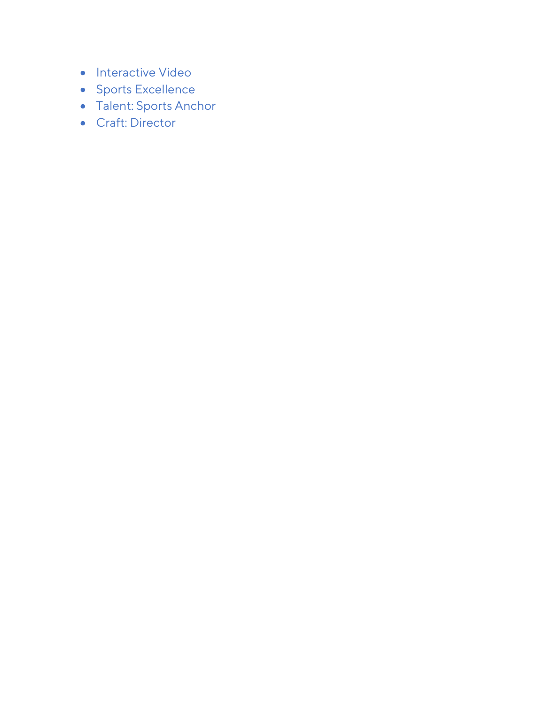- Interactive Video
- Sports Excellence
- Talent: Sports Anchor
- Craft: Director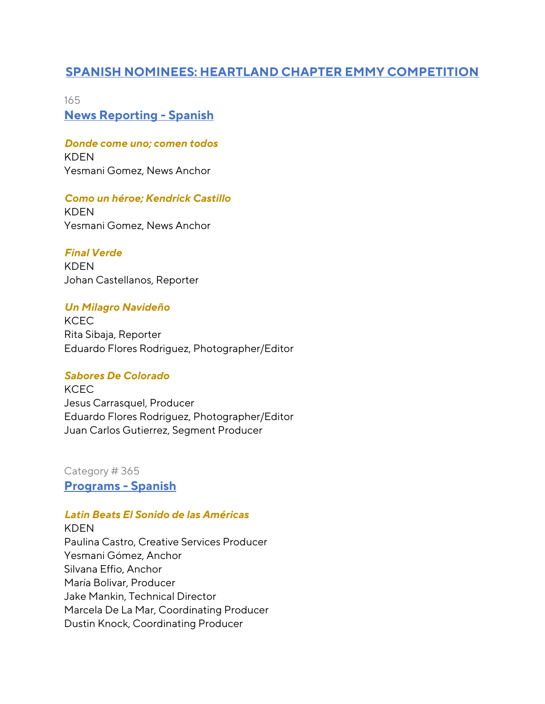# **SPANISH NOMINEES: HEARTLAND CHAPTER EMMY COMPETITION**

165 **News Reporting - Spanish**

*Donde come uno; comen todos*  KDEN Yesmani Gomez, News Anchor

## *Como un héroe; Kendrick Castillo*

KDEN Yesmani Gomez, News Anchor

*Final Verde* KDEN Johan Castellanos, Reporter

# *Un Milagro Navideño*

**KCEC** Rita Sibaja, Reporter Eduardo Flores Rodriguez, Photographer/Editor

## *Sabores De Colorado*

**KCEC** Jesus Carrasquel, Producer Eduardo Flores Rodriguez, Photographer/Editor Juan Carlos Gutierrez, Segment Producer

Category # 365 **Programs - Spanish**

## *Latin Beats El Sonido de las Américas*

KDEN Paulina Castro, Creative Services Producer Yesmani Gómez, Anchor Silvana Effio, Anchor María Bolivar, Producer Jake Mankin, Technical Director Marcela De La Mar, Coordinating Producer Dustin Knock, Coordinating Producer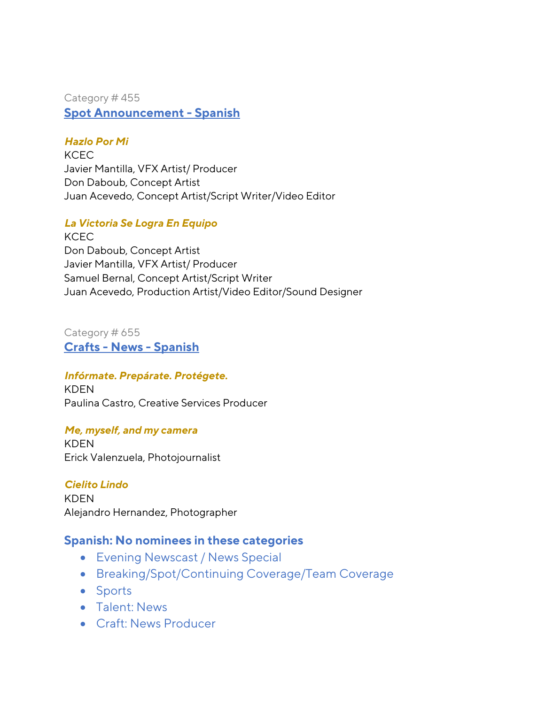Category # 455 **Spot Announcement - Spanish**

## *Hazlo Por Mi*

**KCEC** Javier Mantilla, VFX Artist/ Producer Don Daboub, Concept Artist Juan Acevedo, Concept Artist/Script Writer/Video Editor

## *La Victoria Se Logra En Equipo*

**KCEC** Don Daboub, Concept Artist Javier Mantilla, VFX Artist/ Producer Samuel Bernal, Concept Artist/Script Writer Juan Acevedo, Production Artist/Video Editor/Sound Designer

## Category # 655 **Crafts - News - Spanish**

### *Infórmate. Prepárate. Protégete.*

KDEN Paulina Castro, Creative Services Producer

### *Me, myself, and my camera*

KDEN Erick Valenzuela, Photojournalist

*Cielito Lindo* KDEN Alejandro Hernandez, Photographer

## **Spanish: No nominees in these categories**

- Evening Newscast / News Special
- Breaking/Spot/Continuing Coverage/Team Coverage
- Sports
- Talent: News
- Craft: News Producer